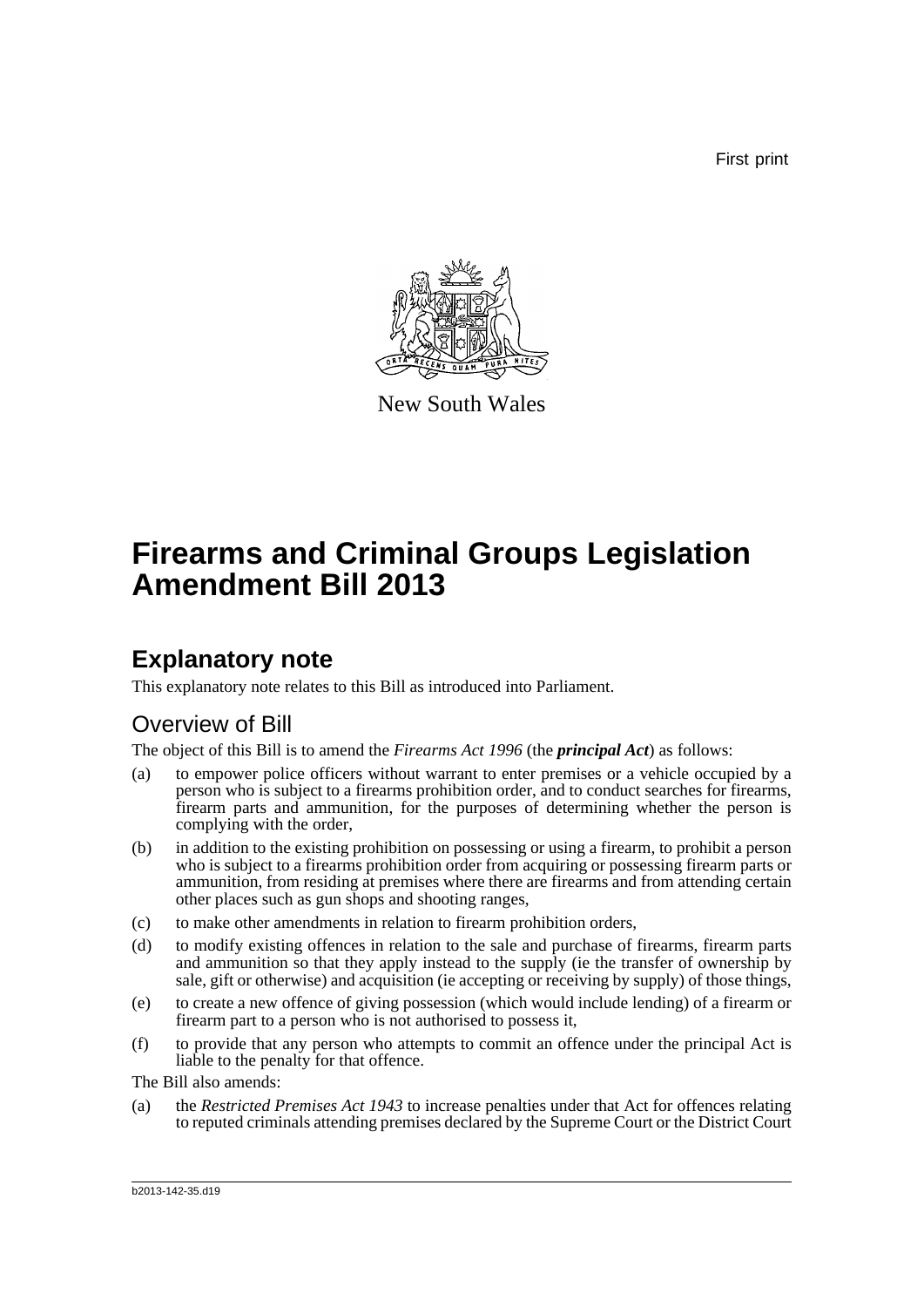First print



New South Wales

# **Firearms and Criminal Groups Legislation Amendment Bill 2013**

## **Explanatory note**

This explanatory note relates to this Bill as introduced into Parliament.

## Overview of Bill

The object of this Bill is to amend the *Firearms Act 1996* (the *principal Act*) as follows:

- (a) to empower police officers without warrant to enter premises or a vehicle occupied by a person who is subject to a firearms prohibition order, and to conduct searches for firearms, firearm parts and ammunition, for the purposes of determining whether the person is complying with the order,
- (b) in addition to the existing prohibition on possessing or using a firearm, to prohibit a person who is subject to a firearms prohibition order from acquiring or possessing firearm parts or ammunition, from residing at premises where there are firearms and from attending certain other places such as gun shops and shooting ranges,
- (c) to make other amendments in relation to firearm prohibition orders,
- (d) to modify existing offences in relation to the sale and purchase of firearms, firearm parts and ammunition so that they apply instead to the supply (ie the transfer of ownership by sale, gift or otherwise) and acquisition (ie accepting or receiving by supply) of those things,
- (e) to create a new offence of giving possession (which would include lending) of a firearm or firearm part to a person who is not authorised to possess it,
- (f) to provide that any person who attempts to commit an offence under the principal Act is liable to the penalty for that offence.

The Bill also amends:

(a) the *Restricted Premises Act 1943* to increase penalties under that Act for offences relating to reputed criminals attending premises declared by the Supreme Court or the District Court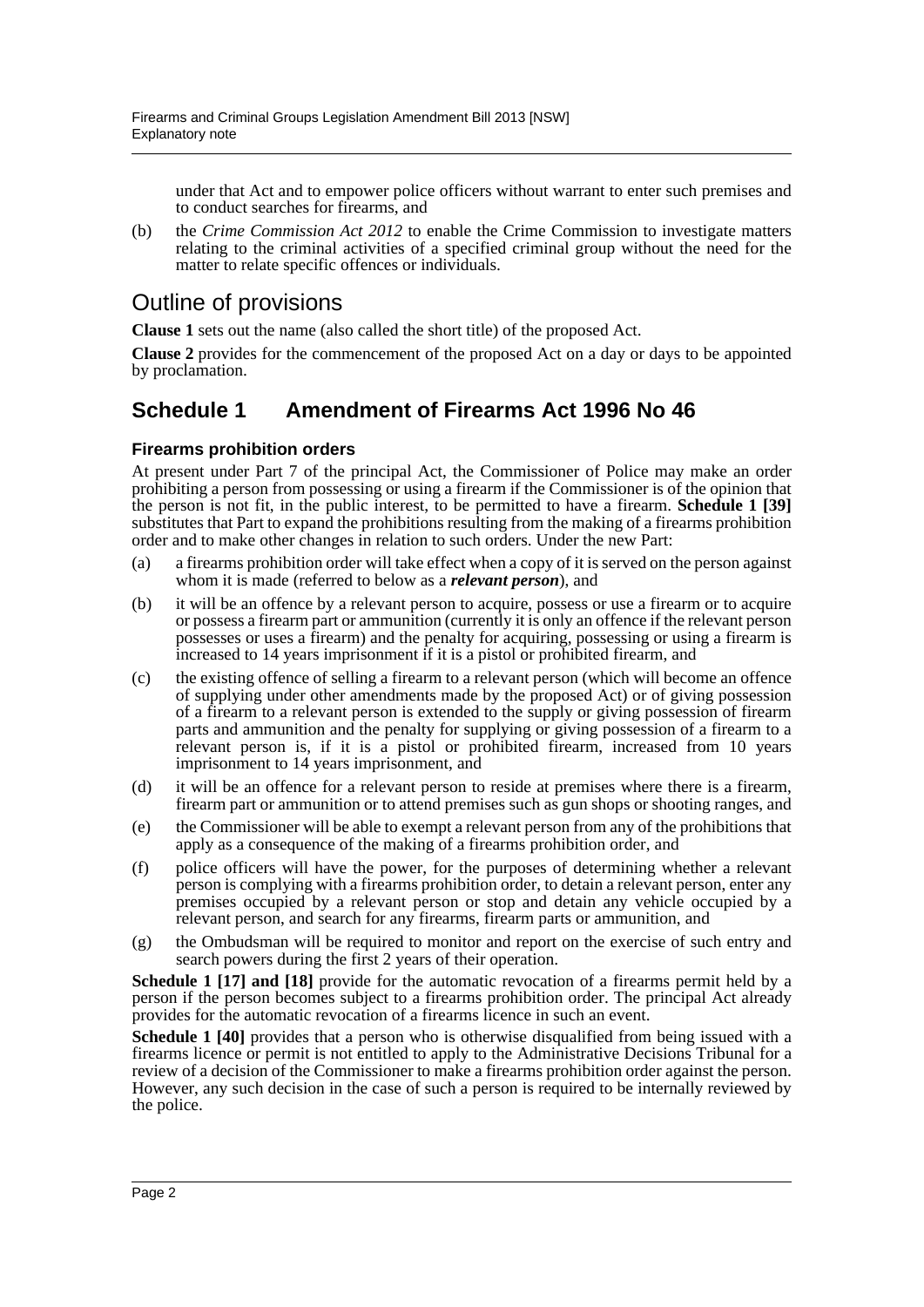under that Act and to empower police officers without warrant to enter such premises and to conduct searches for firearms, and

(b) the *Crime Commission Act 2012* to enable the Crime Commission to investigate matters relating to the criminal activities of a specified criminal group without the need for the matter to relate specific offences or individuals.

## Outline of provisions

**Clause 1** sets out the name (also called the short title) of the proposed Act.

**Clause 2** provides for the commencement of the proposed Act on a day or days to be appointed by proclamation.

### **Schedule 1 Amendment of Firearms Act 1996 No 46**

### **Firearms prohibition orders**

At present under Part 7 of the principal Act, the Commissioner of Police may make an order prohibiting a person from possessing or using a firearm if the Commissioner is of the opinion that the person is not fit, in the public interest, to be permitted to have a firearm. **Schedule 1 [39]** substitutes that Part to expand the prohibitions resulting from the making of a firearms prohibition order and to make other changes in relation to such orders. Under the new Part:

- (a) a firearms prohibition order will take effect when a copy of it is served on the person against whom it is made (referred to below as a *relevant person*), and
- (b) it will be an offence by a relevant person to acquire, possess or use a firearm or to acquire or possess a firearm part or ammunition (currently it is only an offence if the relevant person possesses or uses a firearm) and the penalty for acquiring, possessing or using a firearm is increased to 14 years imprisonment if it is a pistol or prohibited firearm, and
- (c) the existing offence of selling a firearm to a relevant person (which will become an offence of supplying under other amendments made by the proposed Act) or of giving possession of a firearm to a relevant person is extended to the supply or giving possession of firearm parts and ammunition and the penalty for supplying or giving possession of a firearm to a relevant person is, if it is a pistol or prohibited firearm, increased from 10 years imprisonment to 14 years imprisonment, and
- (d) it will be an offence for a relevant person to reside at premises where there is a firearm, firearm part or ammunition or to attend premises such as gun shops or shooting ranges, and
- (e) the Commissioner will be able to exempt a relevant person from any of the prohibitions that apply as a consequence of the making of a firearms prohibition order, and
- (f) police officers will have the power, for the purposes of determining whether a relevant person is complying with a firearms prohibition order, to detain a relevant person, enter any premises occupied by a relevant person or stop and detain any vehicle occupied by a relevant person, and search for any firearms, firearm parts or ammunition, and
- (g) the Ombudsman will be required to monitor and report on the exercise of such entry and search powers during the first 2 years of their operation.

**Schedule 1 [17] and [18]** provide for the automatic revocation of a firearms permit held by a person if the person becomes subject to a firearms prohibition order. The principal Act already provides for the automatic revocation of a firearms licence in such an event.

**Schedule 1 [40]** provides that a person who is otherwise disqualified from being issued with a firearms licence or permit is not entitled to apply to the Administrative Decisions Tribunal for a review of a decision of the Commissioner to make a firearms prohibition order against the person. However, any such decision in the case of such a person is required to be internally reviewed by the police.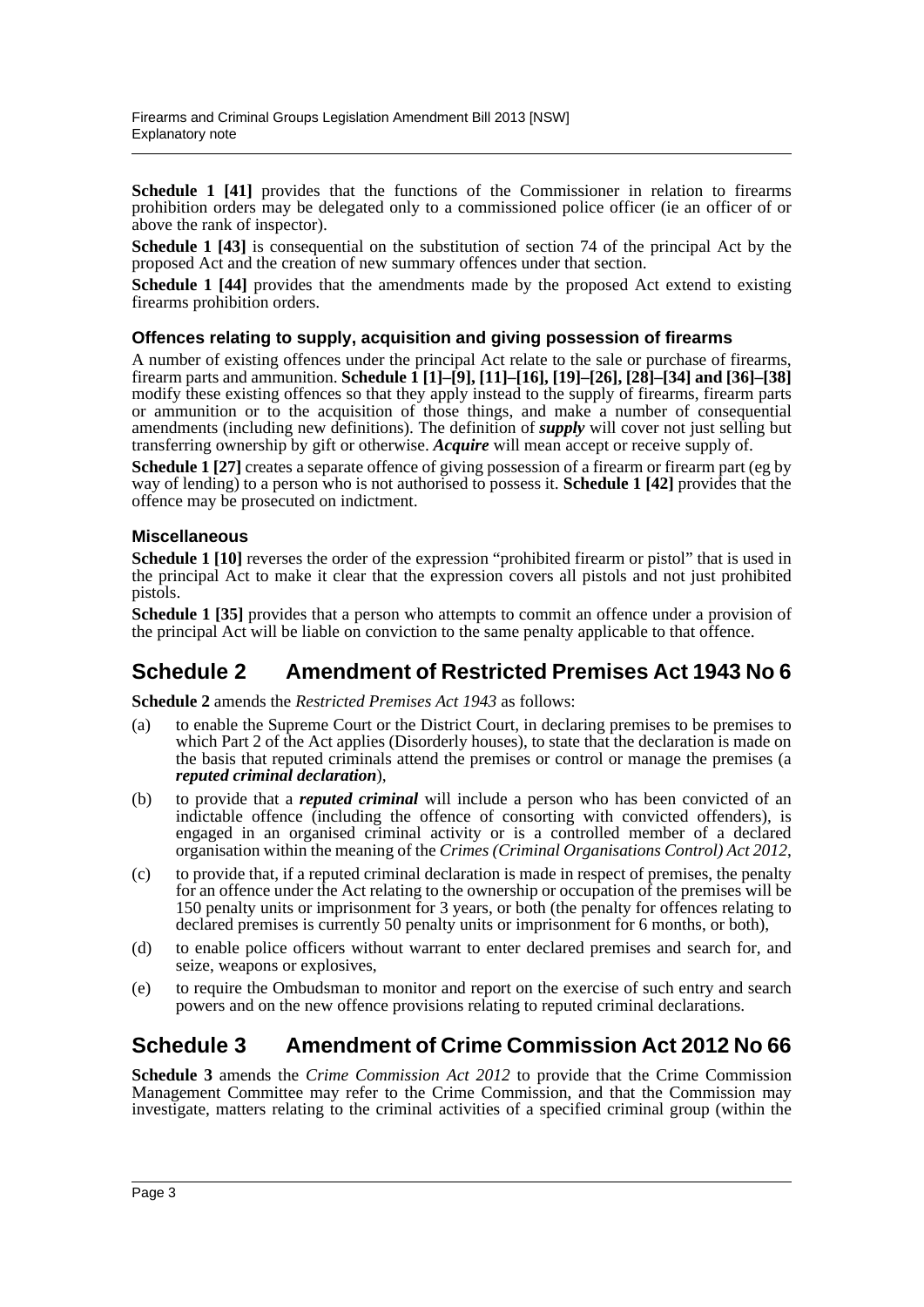**Schedule 1 [41]** provides that the functions of the Commissioner in relation to firearms prohibition orders may be delegated only to a commissioned police officer (ie an officer of or above the rank of inspector).

**Schedule 1 [43]** is consequential on the substitution of section 74 of the principal Act by the proposed Act and the creation of new summary offences under that section.

**Schedule 1 [44]** provides that the amendments made by the proposed Act extend to existing firearms prohibition orders.

#### **Offences relating to supply, acquisition and giving possession of firearms**

A number of existing offences under the principal Act relate to the sale or purchase of firearms, firearm parts and ammunition. **Schedule 1 [1]–[9], [11]–[16], [19]–[26], [28]–[34] and [36]–[38]** modify these existing offences so that they apply instead to the supply of firearms, firearm parts or ammunition or to the acquisition of those things, and make a number of consequential amendments (including new definitions). The definition of *supply* will cover not just selling but transferring ownership by gift or otherwise. *Acquire* will mean accept or receive supply of.

**Schedule 1 [27]** creates a separate offence of giving possession of a firearm or firearm part (eg by way of lending) to a person who is not authorised to possess it. **Schedule 1 [42]** provides that the offence may be prosecuted on indictment.

#### **Miscellaneous**

**Schedule 1 [10]** reverses the order of the expression "prohibited firearm or pistol" that is used in the principal Act to make it clear that the expression covers all pistols and not just prohibited pistols.

**Schedule 1 [35]** provides that a person who attempts to commit an offence under a provision of the principal Act will be liable on conviction to the same penalty applicable to that offence.

### **Schedule 2 Amendment of Restricted Premises Act 1943 No 6**

**Schedule 2** amends the *Restricted Premises Act 1943* as follows:

- (a) to enable the Supreme Court or the District Court, in declaring premises to be premises to which Part 2 of the Act applies (Disorderly houses), to state that the declaration is made on the basis that reputed criminals attend the premises or control or manage the premises (a *reputed criminal declaration*),
- (b) to provide that a *reputed criminal* will include a person who has been convicted of an indictable offence (including the offence of consorting with convicted offenders), is engaged in an organised criminal activity or is a controlled member of a declared organisation within the meaning of the *Crimes (Criminal Organisations Control) Act 2012*,
- (c) to provide that, if a reputed criminal declaration is made in respect of premises, the penalty for an offence under the Act relating to the ownership or occupation of the premises will be 150 penalty units or imprisonment for 3 years, or both (the penalty for offences relating to declared premises is currently 50 penalty units or imprisonment for 6 months, or both),
- (d) to enable police officers without warrant to enter declared premises and search for, and seize, weapons or explosives,
- (e) to require the Ombudsman to monitor and report on the exercise of such entry and search powers and on the new offence provisions relating to reputed criminal declarations.

### **Schedule 3 Amendment of Crime Commission Act 2012 No 66**

**Schedule 3** amends the *Crime Commission Act 2012* to provide that the Crime Commission Management Committee may refer to the Crime Commission, and that the Commission may investigate, matters relating to the criminal activities of a specified criminal group (within the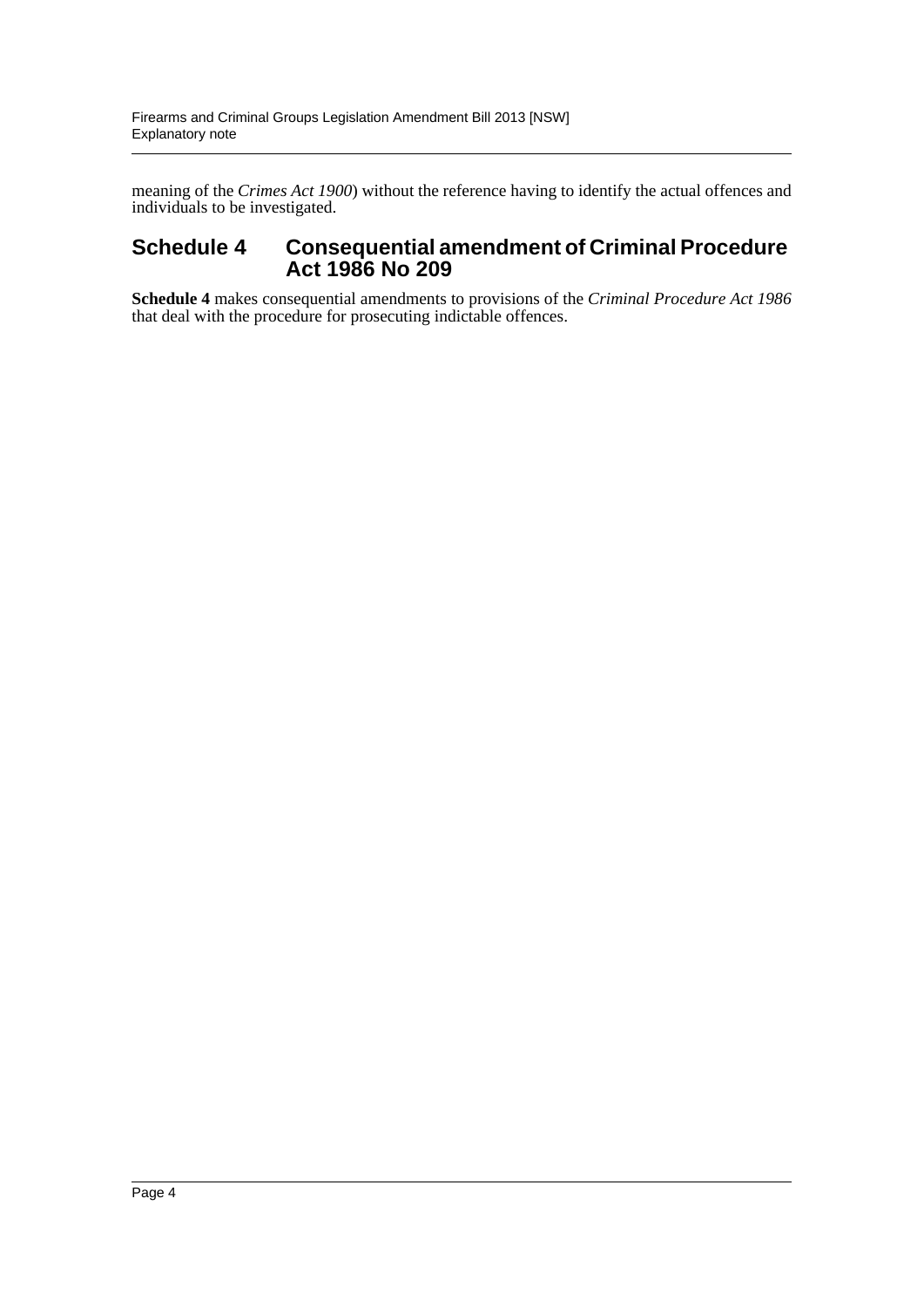meaning of the *Crimes Act 1900*) without the reference having to identify the actual offences and individuals to be investigated.

### **Schedule 4 Consequential amendment of Criminal Procedure Act 1986 No 209**

**Schedule 4** makes consequential amendments to provisions of the *Criminal Procedure Act 1986* that deal with the procedure for prosecuting indictable offences.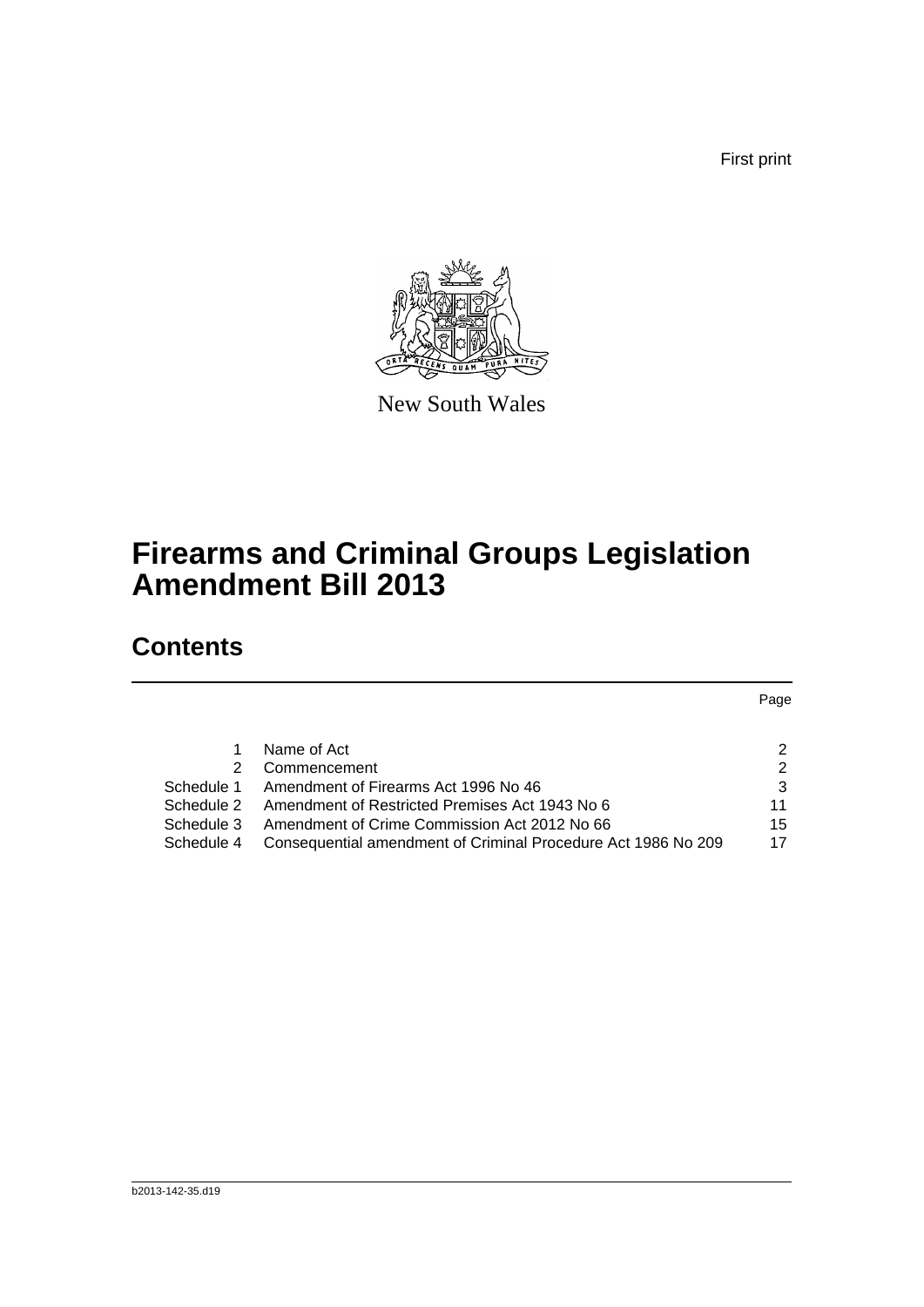First print



New South Wales

# **Firearms and Criminal Groups Legislation Amendment Bill 2013**

## **Contents**

| 2             |
|---------------|
| $\mathcal{P}$ |
| 3             |
| 11            |
| 15            |
| 17            |
|               |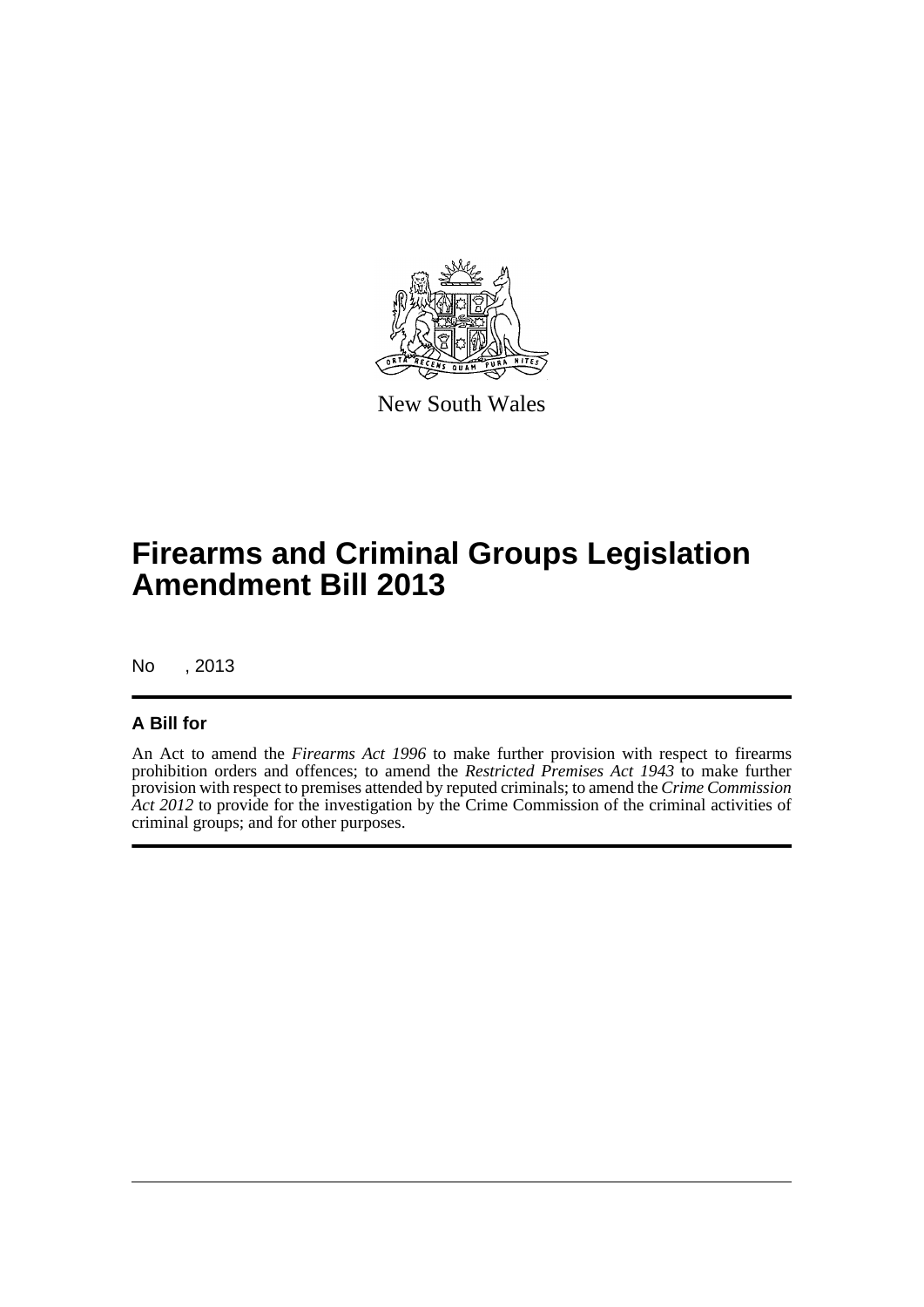

New South Wales

# **Firearms and Criminal Groups Legislation Amendment Bill 2013**

No , 2013

### **A Bill for**

An Act to amend the *Firearms Act 1996* to make further provision with respect to firearms prohibition orders and offences; to amend the *Restricted Premises Act 1943* to make further provision with respect to premises attended by reputed criminals; to amend the *Crime Commission* Act 2012 to provide for the investigation by the Crime Commission of the criminal activities of criminal groups; and for other purposes.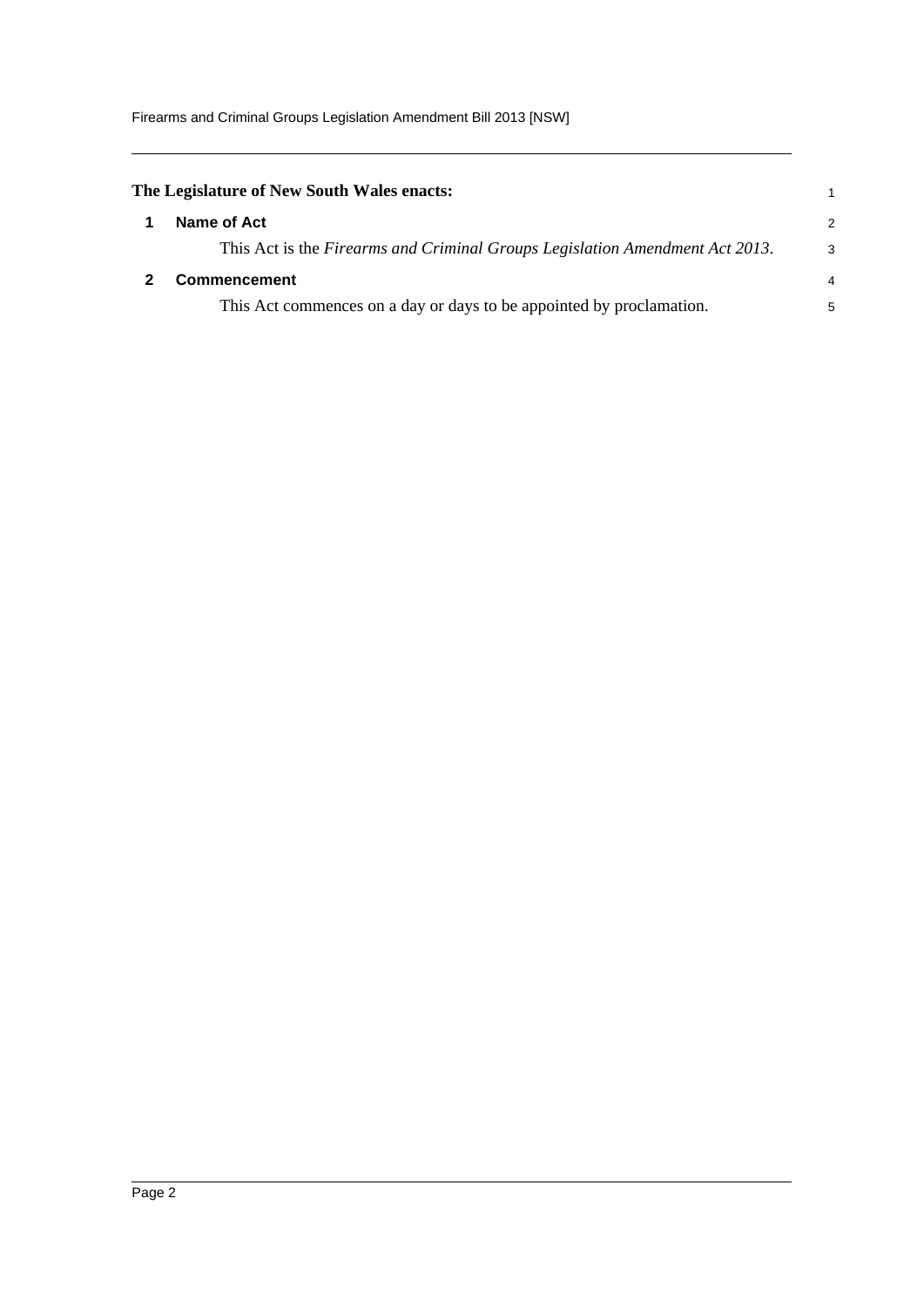Firearms and Criminal Groups Legislation Amendment Bill 2013 [NSW]

<span id="page-6-1"></span><span id="page-6-0"></span>

| The Legislature of New South Wales enacts:                                   |                |
|------------------------------------------------------------------------------|----------------|
| Name of Act                                                                  | 2              |
| This Act is the Firearms and Criminal Groups Legislation Amendment Act 2013. | 3              |
| <b>Commencement</b>                                                          | $\overline{4}$ |
| This Act commences on a day or days to be appointed by proclamation.         | 5              |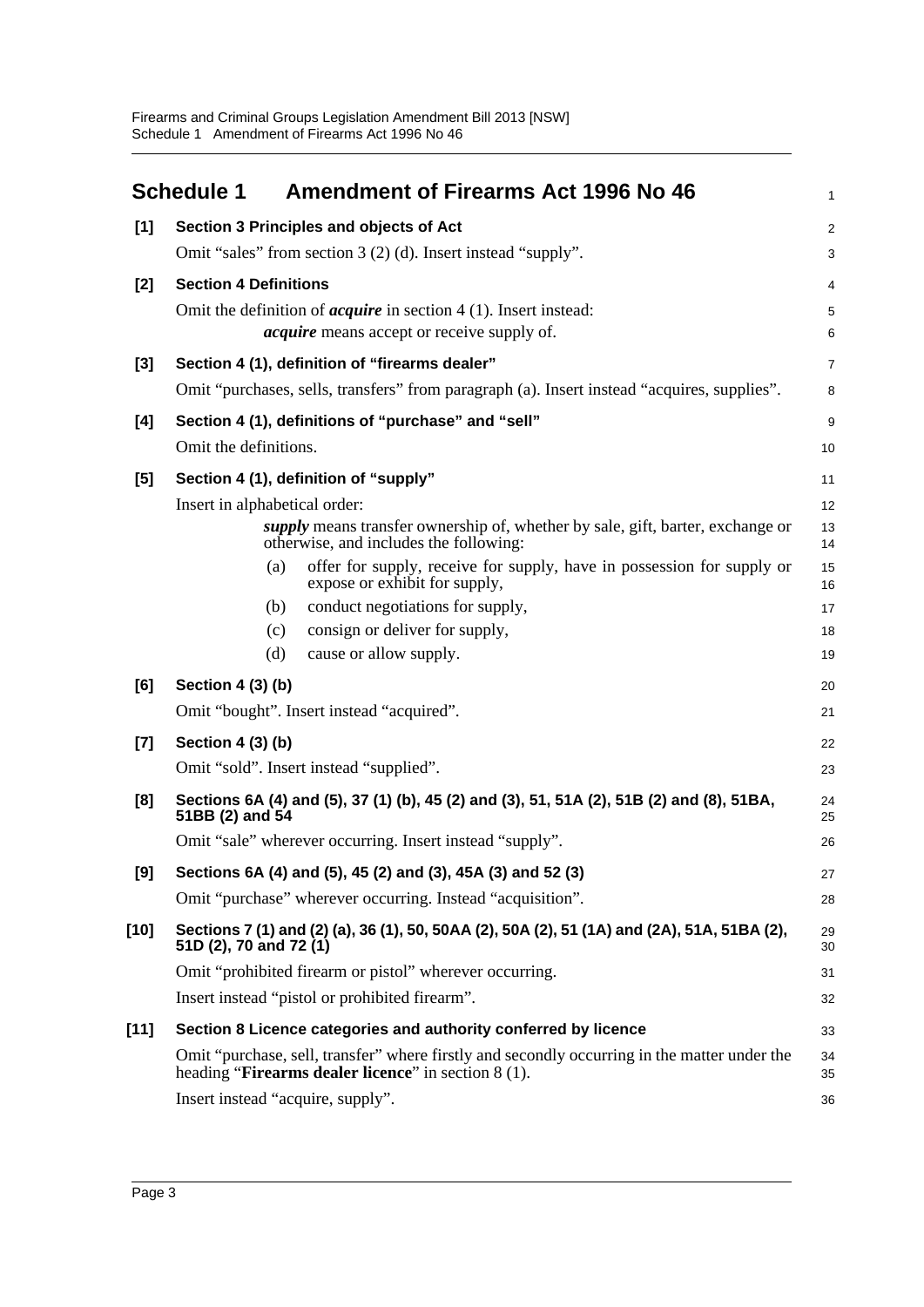<span id="page-7-0"></span>

|        | <b>Schedule 1</b>                 | <b>Amendment of Firearms Act 1996 No 46</b>                                                                                                                  | 1                       |  |  |
|--------|-----------------------------------|--------------------------------------------------------------------------------------------------------------------------------------------------------------|-------------------------|--|--|
| $[1]$  |                                   | Section 3 Principles and objects of Act                                                                                                                      | $\overline{\mathbf{c}}$ |  |  |
|        |                                   | Omit "sales" from section 3 (2) (d). Insert instead "supply".                                                                                                | 3                       |  |  |
| $[2]$  | <b>Section 4 Definitions</b>      |                                                                                                                                                              |                         |  |  |
|        |                                   | Omit the definition of <i>acquire</i> in section $4(1)$ . Insert instead:                                                                                    | 5                       |  |  |
|        |                                   | <i>acquire</i> means accept or receive supply of.                                                                                                            | 6                       |  |  |
| $[3]$  |                                   | Section 4 (1), definition of "firearms dealer"                                                                                                               | 7                       |  |  |
|        |                                   | Omit "purchases, sells, transfers" from paragraph (a). Insert instead "acquires, supplies".                                                                  | 8                       |  |  |
| [4]    |                                   | Section 4 (1), definitions of "purchase" and "sell"                                                                                                          | 9                       |  |  |
|        | Omit the definitions.             |                                                                                                                                                              | 10                      |  |  |
| [5]    |                                   | Section 4 (1), definition of "supply"                                                                                                                        | 11                      |  |  |
|        | Insert in alphabetical order:     |                                                                                                                                                              | 12                      |  |  |
|        |                                   | <i>supply</i> means transfer ownership of, whether by sale, gift, barter, exchange or<br>otherwise, and includes the following:                              | 13<br>14                |  |  |
|        | (a)                               | offer for supply, receive for supply, have in possession for supply or<br>expose or exhibit for supply,                                                      | 15<br>16                |  |  |
|        | (b)                               | conduct negotiations for supply,                                                                                                                             | 17                      |  |  |
|        | (c)                               | consign or deliver for supply,                                                                                                                               | 18                      |  |  |
|        | (d)                               | cause or allow supply.                                                                                                                                       | 19                      |  |  |
| [6]    | Section 4 (3) (b)                 |                                                                                                                                                              | 20                      |  |  |
|        |                                   | Omit "bought". Insert instead "acquired".                                                                                                                    | 21                      |  |  |
| $[7]$  | Section 4 (3) (b)                 |                                                                                                                                                              | 22                      |  |  |
|        |                                   | Omit "sold". Insert instead "supplied".                                                                                                                      | 23                      |  |  |
| [8]    | 51BB (2) and 54                   | Sections 6A (4) and (5), 37 (1) (b), 45 (2) and (3), 51, 51A (2), 51B (2) and (8), 51BA,                                                                     | 24<br>25                |  |  |
|        |                                   | Omit "sale" wherever occurring. Insert instead "supply".                                                                                                     | 26                      |  |  |
| [9]    |                                   | Sections 6A (4) and (5), 45 (2) and (3), 45A (3) and 52 (3)                                                                                                  | 27                      |  |  |
|        |                                   | Omit "purchase" wherever occurring. Instead "acquisition".                                                                                                   | 28                      |  |  |
| $[10]$ | 51D (2), 70 and 72 (1)            | Sections 7 (1) and (2) (a), 36 (1), 50, 50AA (2), 50A (2), 51 (1A) and (2A), 51A, 51BA (2),                                                                  | 29<br>30                |  |  |
|        |                                   | Omit "prohibited firearm or pistol" wherever occurring.                                                                                                      | 31                      |  |  |
|        |                                   | Insert instead "pistol or prohibited firearm".                                                                                                               | 32                      |  |  |
| $[11]$ |                                   | Section 8 Licence categories and authority conferred by licence                                                                                              | 33                      |  |  |
|        |                                   | Omit "purchase, sell, transfer" where firstly and secondly occurring in the matter under the<br>heading " <b>Firearms dealer licence</b> " in section 8 (1). | 34<br>35                |  |  |
|        | Insert instead "acquire, supply". |                                                                                                                                                              | 36                      |  |  |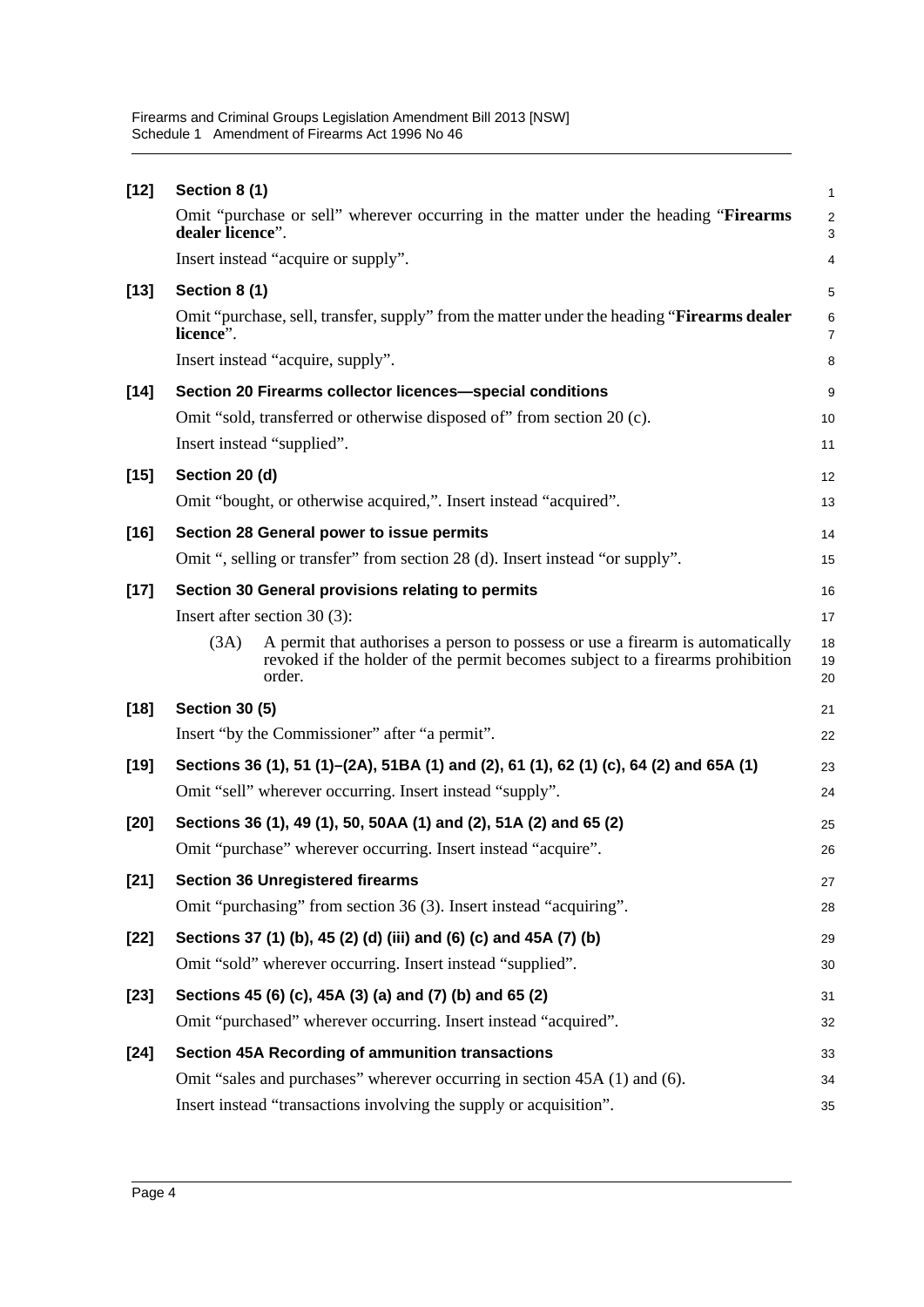| $[12]$ | Section 8 (1)                                                                                                                                                                     | $\mathbf{1}$        |
|--------|-----------------------------------------------------------------------------------------------------------------------------------------------------------------------------------|---------------------|
|        | Omit "purchase or sell" wherever occurring in the matter under the heading "Firearms"<br>dealer licence".                                                                         | $\overline{c}$<br>3 |
|        | Insert instead "acquire or supply".                                                                                                                                               | 4                   |
| $[13]$ | Section 8 (1)                                                                                                                                                                     | 5                   |
|        | Omit "purchase, sell, transfer, supply" from the matter under the heading "Firearms dealer<br>licence".                                                                           | 6<br>$\overline{7}$ |
|        | Insert instead "acquire, supply".                                                                                                                                                 | 8                   |
| $[14]$ | Section 20 Firearms collector licences-special conditions                                                                                                                         | 9                   |
|        | Omit "sold, transferred or otherwise disposed of" from section 20 (c).                                                                                                            | 10                  |
|        | Insert instead "supplied".                                                                                                                                                        | 11                  |
| $[15]$ | Section 20 (d)                                                                                                                                                                    | 12                  |
|        | Omit "bought, or otherwise acquired,". Insert instead "acquired".                                                                                                                 | 13                  |
| $[16]$ | Section 28 General power to issue permits                                                                                                                                         | 14                  |
|        | Omit ", selling or transfer" from section 28 (d). Insert instead "or supply".                                                                                                     | 15                  |
| $[17]$ | Section 30 General provisions relating to permits                                                                                                                                 | 16                  |
|        | Insert after section $30(3)$ :                                                                                                                                                    | 17                  |
|        | (3A)<br>A permit that authorises a person to possess or use a firearm is automatically<br>revoked if the holder of the permit becomes subject to a firearms prohibition<br>order. | 18<br>19<br>20      |
| $[18]$ | <b>Section 30 (5)</b>                                                                                                                                                             | 21                  |
|        | Insert "by the Commissioner" after "a permit".                                                                                                                                    | 22                  |
| $[19]$ | Sections 36 (1), 51 (1)–(2A), 51BA (1) and (2), 61 (1), 62 (1) (c), 64 (2) and 65A (1)                                                                                            | 23                  |
|        | Omit "sell" wherever occurring. Insert instead "supply".                                                                                                                          | 24                  |
| $[20]$ | Sections 36 (1), 49 (1), 50, 50AA (1) and (2), 51A (2) and 65 (2)                                                                                                                 | 25                  |
|        | Omit "purchase" wherever occurring. Insert instead "acquire".                                                                                                                     | 26                  |
| $[21]$ | <b>Section 36 Unregistered firearms</b>                                                                                                                                           | 27                  |
|        | Omit "purchasing" from section 36 (3). Insert instead "acquiring".                                                                                                                | 28                  |
| $[22]$ | Sections 37 (1) (b), 45 (2) (d) (iii) and (6) (c) and 45A (7) (b)                                                                                                                 | 29                  |
|        | Omit "sold" wherever occurring. Insert instead "supplied".                                                                                                                        | 30                  |
| $[23]$ | Sections 45 (6) (c), 45A (3) (a) and (7) (b) and 65 (2)                                                                                                                           | 31                  |
|        | Omit "purchased" wherever occurring. Insert instead "acquired".                                                                                                                   | 32                  |
| $[24]$ | <b>Section 45A Recording of ammunition transactions</b>                                                                                                                           | 33                  |
|        | Omit "sales and purchases" wherever occurring in section 45A (1) and (6).                                                                                                         | 34                  |
|        | Insert instead "transactions involving the supply or acquisition".                                                                                                                | 35                  |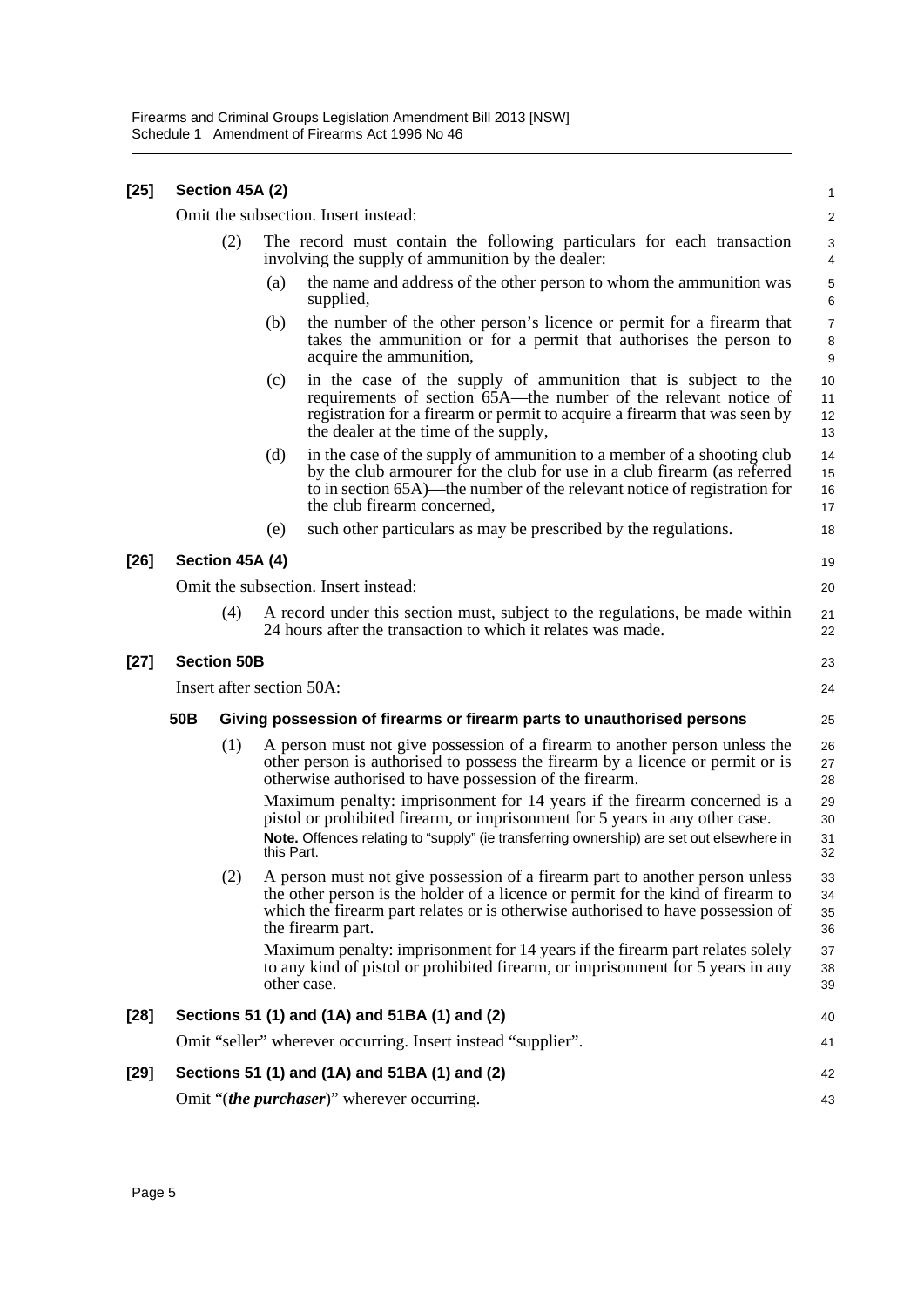| [25] |                                            | Section 45A (2)    |            |                                                                                                                                                                                                                                                                          | 1                        |  |
|------|--------------------------------------------|--------------------|------------|--------------------------------------------------------------------------------------------------------------------------------------------------------------------------------------------------------------------------------------------------------------------------|--------------------------|--|
|      |                                            |                    |            | Omit the subsection. Insert instead:                                                                                                                                                                                                                                     | $\overline{c}$           |  |
|      |                                            | (2)                |            | The record must contain the following particulars for each transaction<br>involving the supply of ammunition by the dealer:                                                                                                                                              | 3<br>4                   |  |
|      |                                            |                    | (a)        | the name and address of the other person to whom the ammunition was<br>supplied,                                                                                                                                                                                         | 5<br>6                   |  |
|      |                                            |                    | (b)        | the number of the other person's licence or permit for a firearm that<br>takes the ammunition or for a permit that authorises the person to<br>acquire the ammunition,                                                                                                   | $\overline{7}$<br>8<br>9 |  |
|      |                                            |                    | (c)        | in the case of the supply of ammunition that is subject to the<br>requirements of section 65A—the number of the relevant notice of<br>registration for a firearm or permit to acquire a firearm that was seen by<br>the dealer at the time of the supply,                | 10<br>11<br>12<br>13     |  |
|      |                                            |                    | (d)        | in the case of the supply of ammunition to a member of a shooting club<br>by the club armourer for the club for use in a club firearm (as referred<br>to in section 65A)—the number of the relevant notice of registration for<br>the club firearm concerned,            | 14<br>15<br>16<br>17     |  |
|      |                                            |                    | (e)        | such other particulars as may be prescribed by the regulations.                                                                                                                                                                                                          | 18                       |  |
| [26] | Section 45A (4)<br>19                      |                    |            |                                                                                                                                                                                                                                                                          |                          |  |
|      | Omit the subsection. Insert instead:<br>20 |                    |            |                                                                                                                                                                                                                                                                          |                          |  |
|      |                                            | (4)                |            | A record under this section must, subject to the regulations, be made within<br>24 hours after the transaction to which it relates was made.                                                                                                                             | 21<br>22                 |  |
| [27] |                                            | <b>Section 50B</b> |            |                                                                                                                                                                                                                                                                          | 23                       |  |
|      |                                            |                    |            | Insert after section 50A:                                                                                                                                                                                                                                                | 24                       |  |
|      | 50B                                        |                    |            | Giving possession of firearms or firearm parts to unauthorised persons                                                                                                                                                                                                   | 25                       |  |
|      |                                            | (1)                |            | A person must not give possession of a firearm to another person unless the<br>other person is authorised to possess the firearm by a licence or permit or is<br>otherwise authorised to have possession of the firearm.                                                 | 26<br>27<br>28           |  |
|      |                                            |                    | this Part. | Maximum penalty: imprisonment for 14 years if the firearm concerned is a<br>pistol or prohibited firearm, or imprisonment for 5 years in any other case.<br>Note. Offences relating to "supply" (ie transferring ownership) are set out elsewhere in                     | 29<br>30<br>31<br>32     |  |
|      |                                            | (2)                |            | A person must not give possession of a firearm part to another person unless<br>the other person is the holder of a licence or permit for the kind of firearm to<br>which the firearm part relates or is otherwise authorised to have possession of<br>the firearm part. | 33<br>34<br>35<br>36     |  |
|      |                                            |                    |            | Maximum penalty: imprisonment for 14 years if the firearm part relates solely<br>to any kind of pistol or prohibited firearm, or imprisonment for 5 years in any<br>other case.                                                                                          | 37<br>38<br>39           |  |
| [28] |                                            |                    |            | Sections 51 (1) and (1A) and 51BA (1) and (2)                                                                                                                                                                                                                            | 40                       |  |
|      |                                            |                    |            | Omit "seller" wherever occurring. Insert instead "supplier".                                                                                                                                                                                                             | 41                       |  |
| [29] |                                            |                    |            | Sections 51 (1) and (1A) and 51BA (1) and (2)                                                                                                                                                                                                                            | 42                       |  |
|      |                                            |                    |            | Omit "( <i>the purchaser</i> )" wherever occurring.                                                                                                                                                                                                                      | 43                       |  |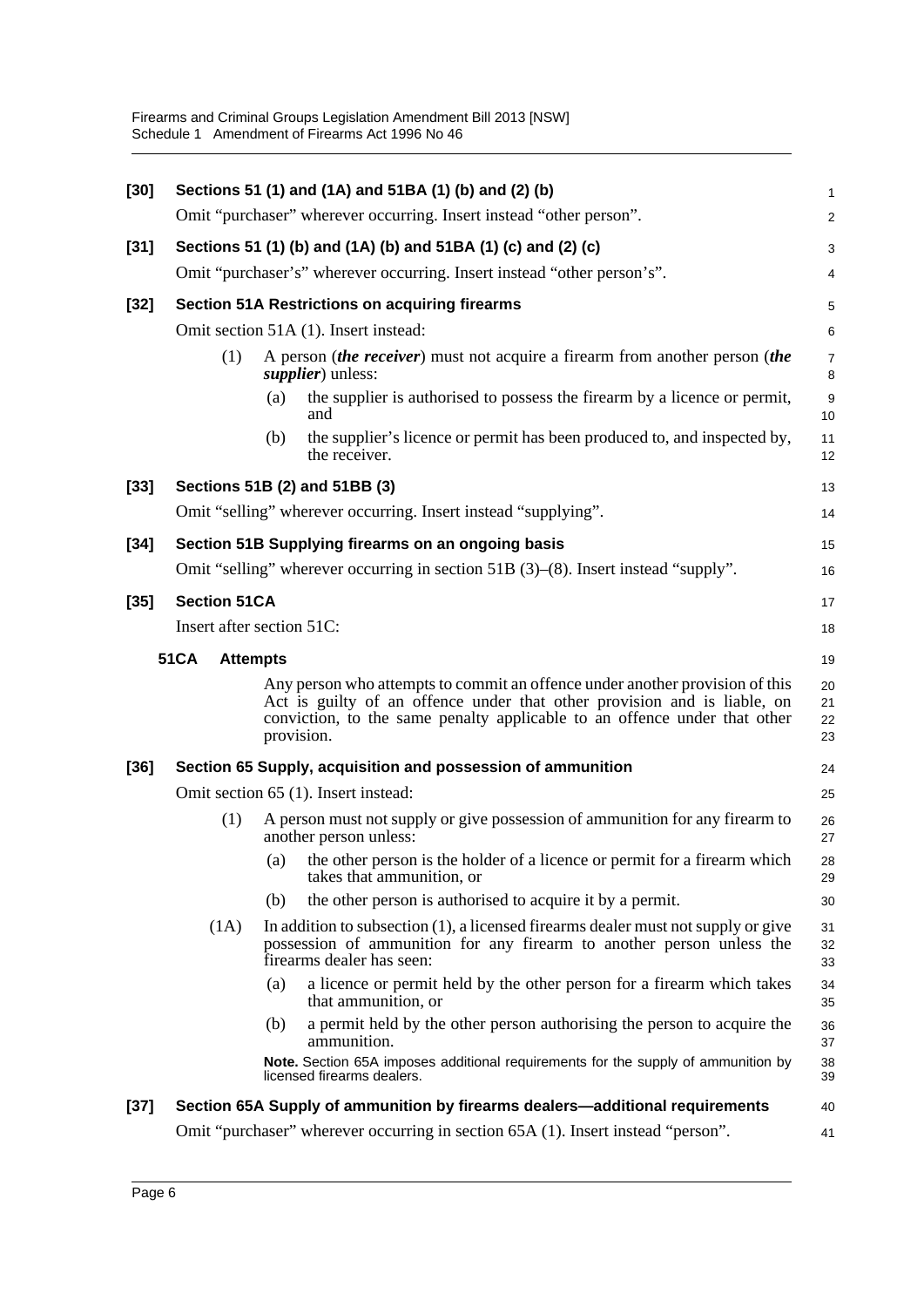| $[30]$ |                                                               | Sections 51 (1) and (1A) and 51BA (1) (b) and (2) (b)                                                                                                                                                                                               | 1                       |  |  |  |  |
|--------|---------------------------------------------------------------|-----------------------------------------------------------------------------------------------------------------------------------------------------------------------------------------------------------------------------------------------------|-------------------------|--|--|--|--|
|        |                                                               | Omit "purchaser" wherever occurring. Insert instead "other person".                                                                                                                                                                                 | $\overline{\mathbf{c}}$ |  |  |  |  |
| $[31]$ | Sections 51 (1) (b) and (1A) (b) and 51BA (1) (c) and (2) (c) |                                                                                                                                                                                                                                                     |                         |  |  |  |  |
|        |                                                               | Omit "purchaser's" wherever occurring. Insert instead "other person's".                                                                                                                                                                             | 4                       |  |  |  |  |
| $[32]$ | <b>Section 51A Restrictions on acquiring firearms</b>         |                                                                                                                                                                                                                                                     |                         |  |  |  |  |
|        |                                                               | Omit section 51A (1). Insert instead:<br>6                                                                                                                                                                                                          |                         |  |  |  |  |
|        | (1)                                                           | A person <i>(the receiver)</i> must not acquire a firearm from another person <i>(the</i><br><i>supplier</i> ) unless:                                                                                                                              | $\overline{7}$<br>8     |  |  |  |  |
|        |                                                               | the supplier is authorised to possess the firearm by a licence or permit,<br>(a)<br>and                                                                                                                                                             | 9<br>10                 |  |  |  |  |
|        |                                                               | the supplier's licence or permit has been produced to, and inspected by,<br>(b)<br>the receiver.                                                                                                                                                    | 11<br>12                |  |  |  |  |
| $[33]$ |                                                               | Sections 51B (2) and 51BB (3)                                                                                                                                                                                                                       | 13                      |  |  |  |  |
|        |                                                               | Omit "selling" wherever occurring. Insert instead "supplying".                                                                                                                                                                                      | 14                      |  |  |  |  |
| $[34]$ |                                                               | Section 51B Supplying firearms on an ongoing basis                                                                                                                                                                                                  | 15                      |  |  |  |  |
|        |                                                               | Omit "selling" wherever occurring in section 51B (3)–(8). Insert instead "supply".                                                                                                                                                                  | 16                      |  |  |  |  |
| $[35]$ | <b>Section 51CA</b>                                           |                                                                                                                                                                                                                                                     | 17                      |  |  |  |  |
|        | Insert after section 51C:<br>18                               |                                                                                                                                                                                                                                                     |                         |  |  |  |  |
|        | <b>51CA</b><br><b>Attempts</b>                                |                                                                                                                                                                                                                                                     | 19                      |  |  |  |  |
|        |                                                               | Any person who attempts to commit an offence under another provision of this<br>Act is guilty of an offence under that other provision and is liable, on<br>conviction, to the same penalty applicable to an offence under that other<br>provision. | 20<br>21<br>22<br>23    |  |  |  |  |
| $[36]$ |                                                               | Section 65 Supply, acquisition and possession of ammunition                                                                                                                                                                                         | 24                      |  |  |  |  |
|        |                                                               | Omit section 65 (1). Insert instead:<br>25                                                                                                                                                                                                          |                         |  |  |  |  |
|        | (1)                                                           | A person must not supply or give possession of ammunition for any firearm to<br>another person unless:                                                                                                                                              | 26<br>27                |  |  |  |  |
|        |                                                               | the other person is the holder of a licence or permit for a firearm which<br>(a)<br>takes that ammunition, or                                                                                                                                       | 28<br>29                |  |  |  |  |
|        |                                                               | the other person is authorised to acquire it by a permit.<br>(b)                                                                                                                                                                                    | 30                      |  |  |  |  |
|        | (1A)                                                          | In addition to subsection $(1)$ , a licensed firearms dealer must not supply or give<br>possession of ammunition for any firearm to another person unless the<br>firearms dealer has seen:                                                          | 31<br>32<br>33          |  |  |  |  |
|        |                                                               | a licence or permit held by the other person for a firearm which takes<br>(a)<br>that ammunition, or                                                                                                                                                | 34<br>35                |  |  |  |  |
|        |                                                               | a permit held by the other person authorising the person to acquire the<br>(b)<br>ammunition.                                                                                                                                                       | 36<br>37                |  |  |  |  |
|        |                                                               | Note. Section 65A imposes additional requirements for the supply of ammunition by<br>licensed firearms dealers.                                                                                                                                     | 38<br>39                |  |  |  |  |
| $[37]$ |                                                               | Section 65A Supply of ammunition by firearms dealers—additional requirements                                                                                                                                                                        | 40                      |  |  |  |  |
|        |                                                               | Omit "purchaser" wherever occurring in section 65A (1). Insert instead "person".                                                                                                                                                                    | 41                      |  |  |  |  |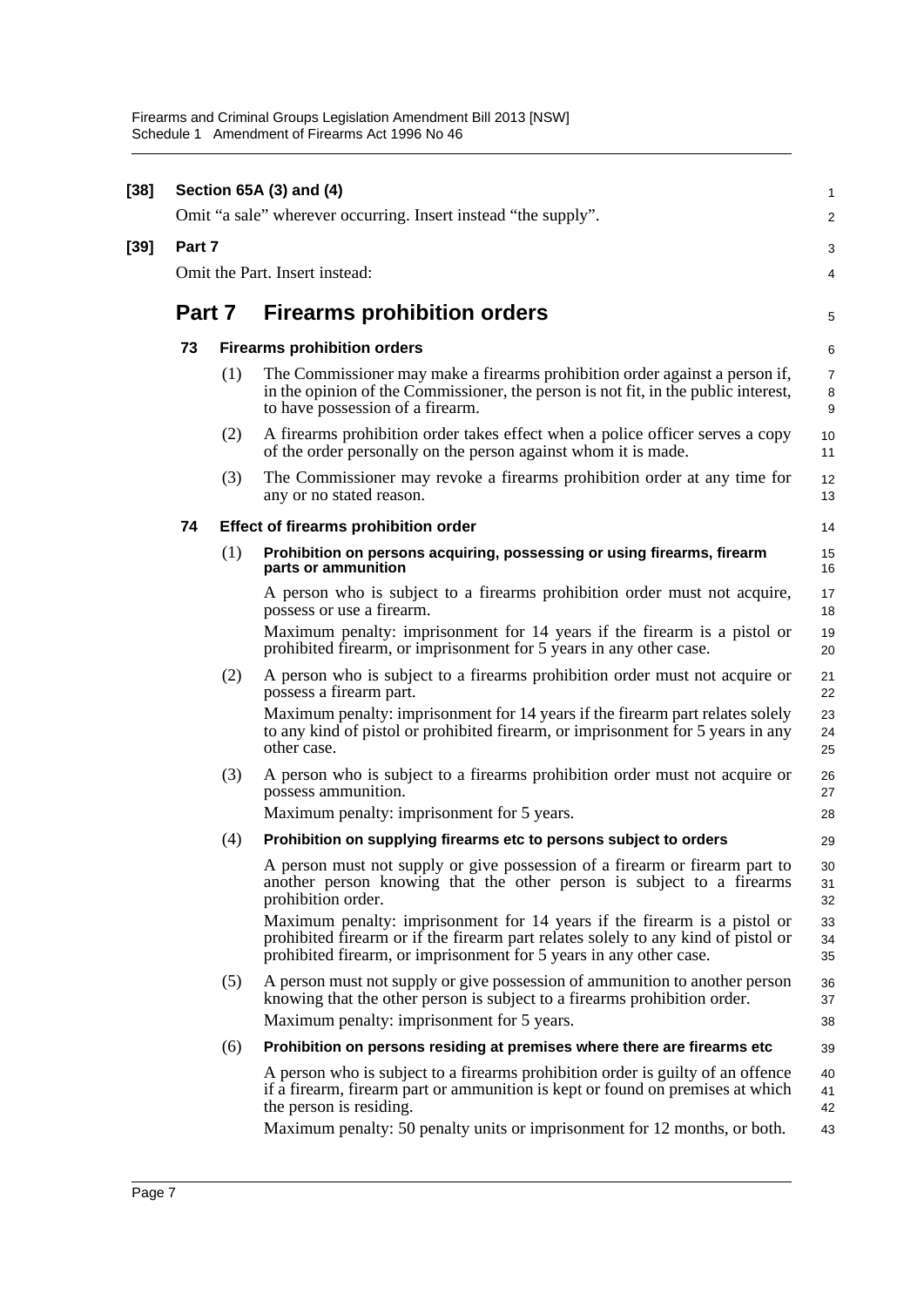| $[38]$ |                                                                |     | Section 65A (3) and (4)                                                                                                                                                                                                                                                   | 1                    |  |  |
|--------|----------------------------------------------------------------|-----|---------------------------------------------------------------------------------------------------------------------------------------------------------------------------------------------------------------------------------------------------------------------------|----------------------|--|--|
|        | Omit "a sale" wherever occurring. Insert instead "the supply". |     |                                                                                                                                                                                                                                                                           |                      |  |  |
| $[39]$ | Part 7                                                         |     |                                                                                                                                                                                                                                                                           | 3                    |  |  |
|        | Omit the Part. Insert instead:                                 |     |                                                                                                                                                                                                                                                                           |                      |  |  |
|        | Part 7                                                         |     | <b>Firearms prohibition orders</b>                                                                                                                                                                                                                                        | 5                    |  |  |
|        | 73                                                             |     | <b>Firearms prohibition orders</b>                                                                                                                                                                                                                                        | 6                    |  |  |
|        |                                                                | (1) | The Commissioner may make a firearms prohibition order against a person if,<br>in the opinion of the Commissioner, the person is not fit, in the public interest,<br>to have possession of a firearm.                                                                     | 7<br>8<br>9          |  |  |
|        |                                                                | (2) | A firearms prohibition order takes effect when a police officer serves a copy<br>of the order personally on the person against whom it is made.                                                                                                                           | 10<br>11             |  |  |
|        |                                                                | (3) | The Commissioner may revoke a firearms prohibition order at any time for<br>any or no stated reason.                                                                                                                                                                      | 12<br>13             |  |  |
|        | 74                                                             |     | <b>Effect of firearms prohibition order</b>                                                                                                                                                                                                                               | 14                   |  |  |
|        |                                                                | (1) | Prohibition on persons acquiring, possessing or using firearms, firearm<br>parts or ammunition                                                                                                                                                                            | 15<br>16             |  |  |
|        |                                                                |     | A person who is subject to a firearms prohibition order must not acquire,<br>possess or use a firearm.                                                                                                                                                                    | 17<br>18             |  |  |
|        |                                                                |     | Maximum penalty: imprisonment for 14 years if the firearm is a pistol or<br>prohibited firearm, or imprisonment for 5 years in any other case.                                                                                                                            | 19<br>20             |  |  |
|        |                                                                | (2) | A person who is subject to a firearms prohibition order must not acquire or<br>possess a firearm part.                                                                                                                                                                    | 21<br>22             |  |  |
|        |                                                                |     | Maximum penalty: imprisonment for 14 years if the firearm part relates solely<br>to any kind of pistol or prohibited firearm, or imprisonment for 5 years in any<br>other case.                                                                                           | 23<br>24<br>25       |  |  |
|        |                                                                | (3) | A person who is subject to a firearms prohibition order must not acquire or<br>possess ammunition.                                                                                                                                                                        | 26<br>27             |  |  |
|        |                                                                |     | Maximum penalty: imprisonment for 5 years.                                                                                                                                                                                                                                | 28                   |  |  |
|        |                                                                | (4) | Prohibition on supplying firearms etc to persons subject to orders                                                                                                                                                                                                        | 29                   |  |  |
|        |                                                                |     | A person must not supply or give possession of a firearm or firearm part to<br>another person knowing that the other person is subject to a firearms<br>prohibition order.                                                                                                | 30<br>31<br>32       |  |  |
|        |                                                                |     | Maximum penalty: imprisonment for 14 years if the firearm is a pistol or<br>prohibited firearm or if the firearm part relates solely to any kind of pistol or<br>prohibited firearm, or imprisonment for 5 years in any other case.                                       | 33<br>34<br>35       |  |  |
|        |                                                                | (5) | A person must not supply or give possession of ammunition to another person<br>knowing that the other person is subject to a firearms prohibition order.                                                                                                                  | 36<br>37             |  |  |
|        |                                                                |     | Maximum penalty: imprisonment for 5 years.                                                                                                                                                                                                                                | 38                   |  |  |
|        |                                                                | (6) | Prohibition on persons residing at premises where there are firearms etc                                                                                                                                                                                                  | 39                   |  |  |
|        |                                                                |     | A person who is subject to a firearms prohibition order is guilty of an offence<br>if a firearm, firearm part or ammunition is kept or found on premises at which<br>the person is residing.<br>Maximum penalty: 50 penalty units or imprisonment for 12 months, or both. | 40<br>41<br>42<br>43 |  |  |
|        |                                                                |     |                                                                                                                                                                                                                                                                           |                      |  |  |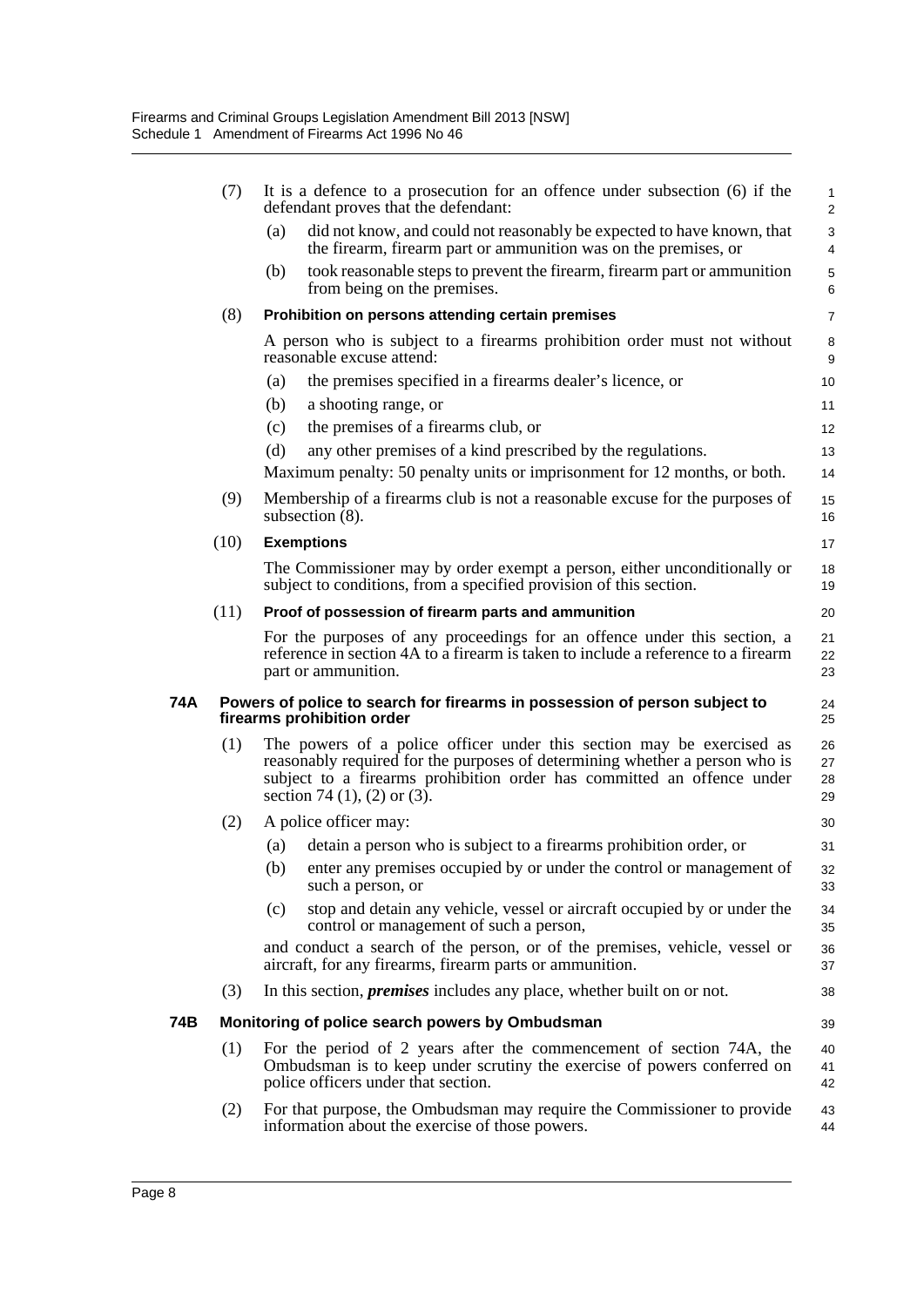|     | (7)  |     | It is a defence to a prosecution for an offence under subsection $(6)$ if the<br>defendant proves that the defendant:                                                                                                                                                 | $\mathbf{1}$<br>2    |
|-----|------|-----|-----------------------------------------------------------------------------------------------------------------------------------------------------------------------------------------------------------------------------------------------------------------------|----------------------|
|     |      | (a) | did not know, and could not reasonably be expected to have known, that<br>the firearm, firearm part or ammunition was on the premises, or                                                                                                                             | $\mathbf{3}$<br>4    |
|     |      | (b) | took reasonable steps to prevent the firearm, firearm part or ammunition<br>from being on the premises.                                                                                                                                                               | 5<br>6               |
|     | (8)  |     | Prohibition on persons attending certain premises                                                                                                                                                                                                                     | $\overline{7}$       |
|     |      |     | A person who is subject to a firearms prohibition order must not without<br>reasonable excuse attend:                                                                                                                                                                 | 8<br>9               |
|     |      | (a) | the premises specified in a firearms dealer's licence, or                                                                                                                                                                                                             | 10                   |
|     |      | (b) | a shooting range, or                                                                                                                                                                                                                                                  | 11                   |
|     |      | (c) | the premises of a firearms club, or                                                                                                                                                                                                                                   | 12                   |
|     |      | (d) | any other premises of a kind prescribed by the regulations.                                                                                                                                                                                                           | 13                   |
|     |      |     | Maximum penalty: 50 penalty units or imprisonment for 12 months, or both.                                                                                                                                                                                             | 14                   |
|     | (9)  |     | Membership of a firearms club is not a reasonable excuse for the purposes of<br>subsection $(8)$ .                                                                                                                                                                    | 15<br>16             |
|     | (10) |     | <b>Exemptions</b>                                                                                                                                                                                                                                                     | 17                   |
|     |      |     | The Commissioner may by order exempt a person, either unconditionally or<br>subject to conditions, from a specified provision of this section.                                                                                                                        | 18<br>19             |
|     | (11) |     | Proof of possession of firearm parts and ammunition                                                                                                                                                                                                                   | 20                   |
|     |      |     | For the purposes of any proceedings for an offence under this section, a<br>reference in section 4A to a firearm is taken to include a reference to a firearm<br>part or ammunition.                                                                                  | 21<br>22<br>23       |
| 74A |      |     | Powers of police to search for firearms in possession of person subject to<br>firearms prohibition order                                                                                                                                                              | 24<br>25             |
|     | (1)  |     | The powers of a police officer under this section may be exercised as<br>reasonably required for the purposes of determining whether a person who is<br>subject to a firearms prohibition order has committed an offence under<br>section 74 $(1)$ , $(2)$ or $(3)$ . | 26<br>27<br>28<br>29 |
|     | (2)  |     | A police officer may:                                                                                                                                                                                                                                                 | 30                   |
|     |      | (a) | detain a person who is subject to a firearms prohibition order, or                                                                                                                                                                                                    | 31                   |
|     |      | (b) | enter any premises occupied by or under the control or management of<br>such a person, or                                                                                                                                                                             | 32<br>33             |
|     |      | (c) | stop and detain any vehicle, vessel or aircraft occupied by or under the<br>control or management of such a person,                                                                                                                                                   | 34<br>35             |
|     |      |     | and conduct a search of the person, or of the premises, vehicle, vessel or<br>aircraft, for any firearms, firearm parts or ammunition.                                                                                                                                | 36<br>37             |
|     | (3)  |     | In this section, <i>premises</i> includes any place, whether built on or not.                                                                                                                                                                                         | 38                   |
| 74B |      |     | Monitoring of police search powers by Ombudsman                                                                                                                                                                                                                       | 39                   |
|     | (1)  |     | For the period of 2 years after the commencement of section 74A, the<br>Ombudsman is to keep under scrutiny the exercise of powers conferred on<br>police officers under that section.                                                                                | 40<br>41<br>42       |
|     | (2)  |     | For that purpose, the Ombudsman may require the Commissioner to provide<br>information about the exercise of those powers.                                                                                                                                            | 43<br>44             |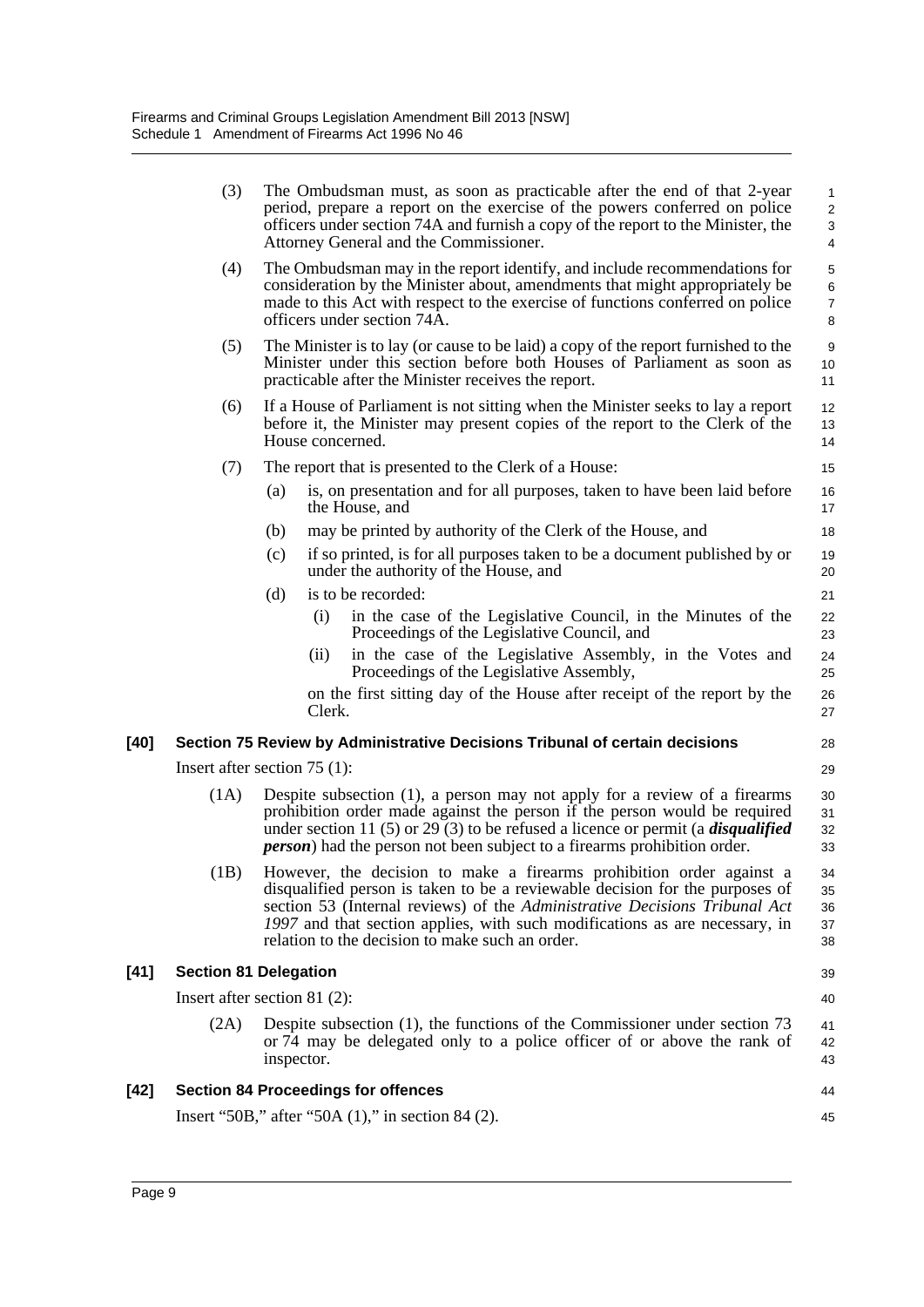|        | (3)  | The Ombudsman must, as soon as practicable after the end of that 2-year<br>period, prepare a report on the exercise of the powers conferred on police<br>officers under section 74A and furnish a copy of the report to the Minister, the<br>Attorney General and the Commissioner.                                                                                       | 1<br>$\overline{\mathbf{c}}$<br>3<br>4 |
|--------|------|---------------------------------------------------------------------------------------------------------------------------------------------------------------------------------------------------------------------------------------------------------------------------------------------------------------------------------------------------------------------------|----------------------------------------|
|        | (4)  | The Ombudsman may in the report identify, and include recommendations for<br>consideration by the Minister about, amendments that might appropriately be<br>made to this Act with respect to the exercise of functions conferred on police<br>officers under section 74A.                                                                                                 | 5<br>6<br>$\overline{7}$<br>8          |
|        | (5)  | The Minister is to lay (or cause to be laid) a copy of the report furnished to the<br>Minister under this section before both Houses of Parliament as soon as<br>practicable after the Minister receives the report.                                                                                                                                                      | 9<br>10<br>11                          |
|        | (6)  | If a House of Parliament is not sitting when the Minister seeks to lay a report<br>before it, the Minister may present copies of the report to the Clerk of the<br>House concerned.                                                                                                                                                                                       | 12<br>13<br>14                         |
|        | (7)  | The report that is presented to the Clerk of a House:                                                                                                                                                                                                                                                                                                                     | 15                                     |
|        |      | (a)<br>is, on presentation and for all purposes, taken to have been laid before<br>the House, and                                                                                                                                                                                                                                                                         | 16<br>17                               |
|        |      | may be printed by authority of the Clerk of the House, and<br>(b)                                                                                                                                                                                                                                                                                                         | 18                                     |
|        |      | if so printed, is for all purposes taken to be a document published by or<br>(c)<br>under the authority of the House, and                                                                                                                                                                                                                                                 | 19<br>20                               |
|        |      | is to be recorded:<br>(d)                                                                                                                                                                                                                                                                                                                                                 | 21                                     |
|        |      | in the case of the Legislative Council, in the Minutes of the<br>(i)<br>Proceedings of the Legislative Council, and                                                                                                                                                                                                                                                       | 22<br>23                               |
|        |      | in the case of the Legislative Assembly, in the Votes and<br>(ii)<br>Proceedings of the Legislative Assembly,                                                                                                                                                                                                                                                             | 24<br>25                               |
|        |      | on the first sitting day of the House after receipt of the report by the<br>Clerk.                                                                                                                                                                                                                                                                                        | 26<br>27                               |
| [40]   |      | Section 75 Review by Administrative Decisions Tribunal of certain decisions                                                                                                                                                                                                                                                                                               | 28                                     |
|        |      | Insert after section $75$ (1):                                                                                                                                                                                                                                                                                                                                            | 29                                     |
|        | (1A) | Despite subsection (1), a person may not apply for a review of a firearms<br>prohibition order made against the person if the person would be required<br>under section 11 (5) or 29 (3) to be refused a licence or permit (a <i>disqualified</i><br><i>person</i> ) had the person not been subject to a firearms prohibition order.                                     | 30<br>31<br>32<br>33                   |
|        |      | (1B) However, the decision to make a firearms prohibition order against a<br>disqualified person is taken to be a reviewable decision for the purposes of<br>section 53 (Internal reviews) of the Administrative Decisions Tribunal Act<br>1997 and that section applies, with such modifications as are necessary, in<br>relation to the decision to make such an order. | 34<br>35<br>36<br>37<br>38             |
| $[41]$ |      | <b>Section 81 Delegation</b>                                                                                                                                                                                                                                                                                                                                              | 39                                     |
|        |      | Insert after section 81 $(2)$ :                                                                                                                                                                                                                                                                                                                                           | 40                                     |
|        | (2A) | Despite subsection (1), the functions of the Commissioner under section 73<br>or $\overline{74}$ may be delegated only to a police officer of or above the rank of<br>inspector.                                                                                                                                                                                          | 41<br>42<br>43                         |
| [42]   |      | <b>Section 84 Proceedings for offences</b>                                                                                                                                                                                                                                                                                                                                | 44                                     |
|        |      | Insert "50B," after "50A $(1)$ ," in section 84 $(2)$ .                                                                                                                                                                                                                                                                                                                   | 45                                     |
|        |      |                                                                                                                                                                                                                                                                                                                                                                           |                                        |

 $[41]$ 

**[42]**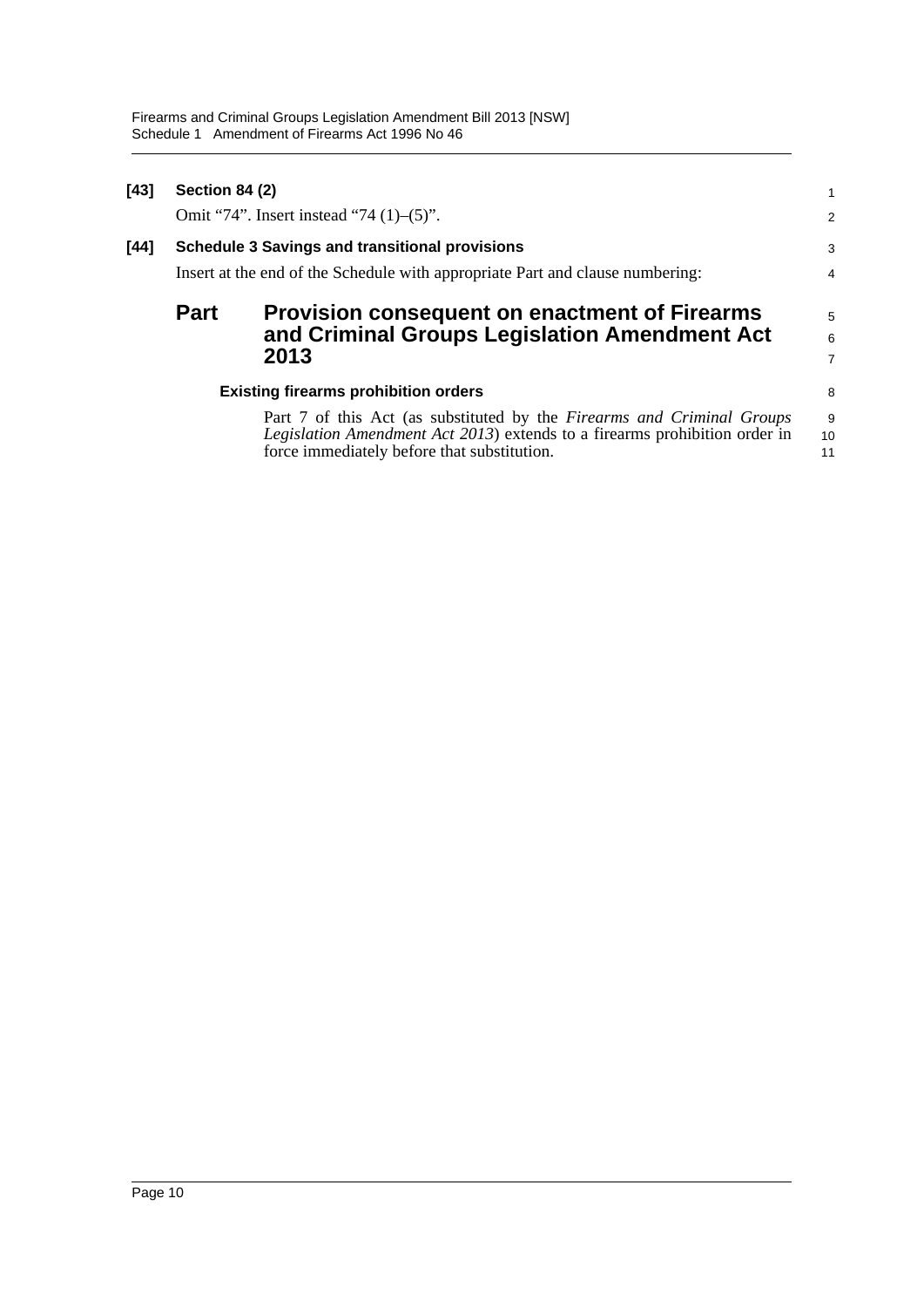| $[43]$ | Section 84 (2)<br>Omit "74". Insert instead "74 $(1)$ – $(5)$ ". |                                                                                                                                                                                                     |                     |  |
|--------|------------------------------------------------------------------|-----------------------------------------------------------------------------------------------------------------------------------------------------------------------------------------------------|---------------------|--|
| $[44]$ |                                                                  | <b>Schedule 3 Savings and transitional provisions</b><br>Insert at the end of the Schedule with appropriate Part and clause numbering:                                                              | 3<br>$\overline{4}$ |  |
|        | <b>Part</b>                                                      | <b>Provision consequent on enactment of Firearms</b><br>and Criminal Groups Legislation Amendment Act<br>2013                                                                                       | 5<br>6<br>7         |  |
|        |                                                                  | <b>Existing firearms prohibition orders</b>                                                                                                                                                         | 8                   |  |
|        |                                                                  | Part 7 of this Act (as substituted by the Firearms and Criminal Groups<br>Legislation Amendment Act 2013) extends to a firearms prohibition order in<br>force immediately before that substitution. | 9<br>10<br>11       |  |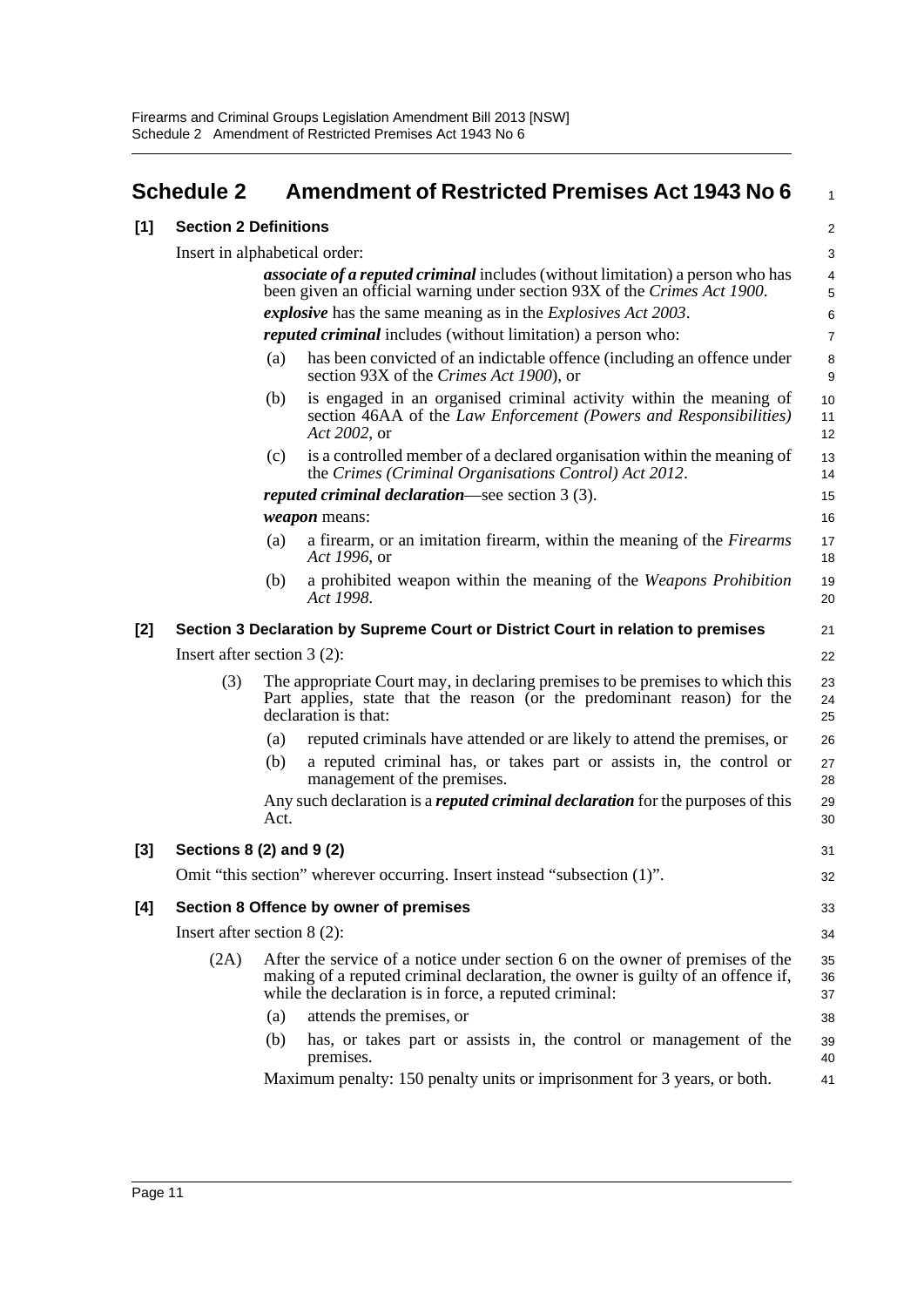<span id="page-15-0"></span>

|       | <b>Schedule 2</b>             | <b>Amendment of Restricted Premises Act 1943 No 6</b>                                                                                                                                                                      | 1                       |  |  |
|-------|-------------------------------|----------------------------------------------------------------------------------------------------------------------------------------------------------------------------------------------------------------------------|-------------------------|--|--|
| [1]   | <b>Section 2 Definitions</b>  |                                                                                                                                                                                                                            | $\overline{\mathbf{c}}$ |  |  |
|       |                               | Insert in alphabetical order:                                                                                                                                                                                              | 3                       |  |  |
|       |                               | <i>associate of a reputed criminal</i> includes (without limitation) a person who has<br>been given an official warning under section 93X of the Crimes Act 1900.                                                          | 4<br>5                  |  |  |
|       |                               | <i>explosive</i> has the same meaning as in the <i>Explosives Act 2003</i> .                                                                                                                                               | 6                       |  |  |
|       |                               | <i>reputed criminal</i> includes (without limitation) a person who:                                                                                                                                                        | 7                       |  |  |
|       |                               | has been convicted of an indictable offence (including an offence under<br>(a)<br>section 93X of the Crimes Act 1900), or                                                                                                  | 8<br>9                  |  |  |
|       |                               | is engaged in an organised criminal activity within the meaning of<br>(b)<br>section 46AA of the Law Enforcement (Powers and Responsibilities)<br>Act 2002, or                                                             | 10<br>11<br>12          |  |  |
|       |                               | is a controlled member of a declared organisation within the meaning of<br>(c)<br>the Crimes (Criminal Organisations Control) Act 2012.                                                                                    | 13<br>14                |  |  |
|       |                               | <i>reputed criminal declaration</i> —see section $3(3)$ .                                                                                                                                                                  | 15                      |  |  |
|       |                               | <i>weapon</i> means:                                                                                                                                                                                                       | 16                      |  |  |
|       |                               | a firearm, or an imitation firearm, within the meaning of the <i>Firearms</i><br>(a)<br>Act 1996, or                                                                                                                       | 17<br>18                |  |  |
|       |                               | a prohibited weapon within the meaning of the Weapons Prohibition<br>(b)<br>Act 1998.                                                                                                                                      | 19<br>20                |  |  |
| $[2]$ |                               | Section 3 Declaration by Supreme Court or District Court in relation to premises                                                                                                                                           | 21                      |  |  |
|       | Insert after section $3(2)$ : |                                                                                                                                                                                                                            |                         |  |  |
|       | (3)                           | The appropriate Court may, in declaring premises to be premises to which this<br>Part applies, state that the reason (or the predominant reason) for the<br>declaration is that:                                           | 23<br>24<br>25          |  |  |
|       |                               | reputed criminals have attended or are likely to attend the premises, or<br>(a)                                                                                                                                            | 26                      |  |  |
|       |                               | a reputed criminal has, or takes part or assists in, the control or<br>(b)<br>management of the premises.                                                                                                                  | 27<br>28                |  |  |
|       |                               | Any such declaration is a reputed criminal declaration for the purposes of this<br>Act.                                                                                                                                    | 29<br>30                |  |  |
| $[3]$ |                               | Sections 8 (2) and 9 (2)                                                                                                                                                                                                   | 31                      |  |  |
|       |                               | Omit "this section" wherever occurring. Insert instead "subsection (1)"                                                                                                                                                    | 32                      |  |  |
| [4]   |                               | Section 8 Offence by owner of premises                                                                                                                                                                                     | 33                      |  |  |
|       |                               | Insert after section $8(2)$ :                                                                                                                                                                                              | 34                      |  |  |
|       | (2A)                          | After the service of a notice under section 6 on the owner of premises of the<br>making of a reputed criminal declaration, the owner is guilty of an offence if,<br>while the declaration is in force, a reputed criminal: | 35<br>36<br>37          |  |  |
|       |                               | attends the premises, or<br>(a)                                                                                                                                                                                            | 38                      |  |  |
|       |                               | (b)<br>has, or takes part or assists in, the control or management of the<br>premises.                                                                                                                                     | 39<br>40                |  |  |
|       |                               | Maximum penalty: 150 penalty units or imprisonment for 3 years, or both.                                                                                                                                                   | 41                      |  |  |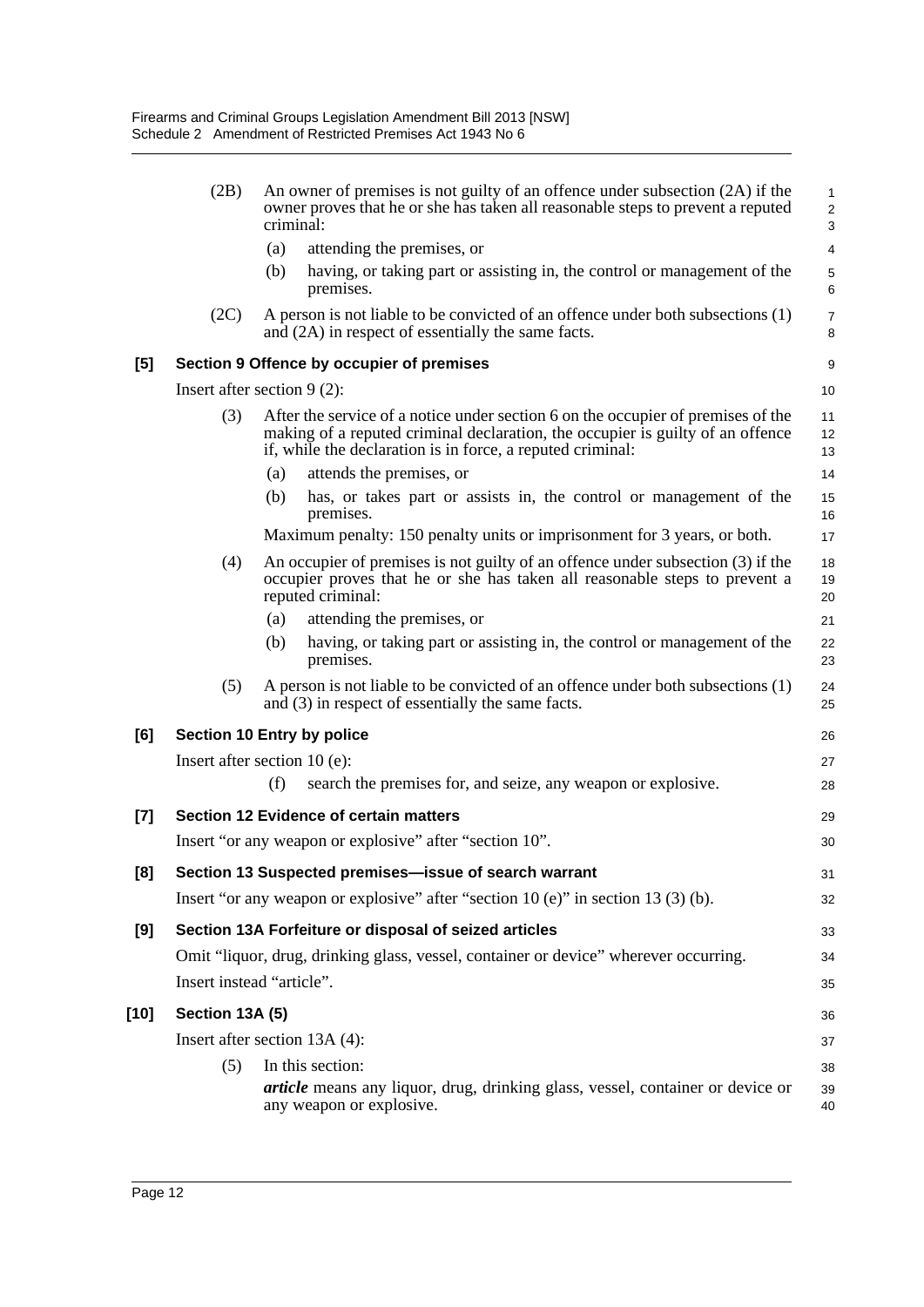|       | (2B)                           | criminal: | An owner of premises is not guilty of an offence under subsection (2A) if the<br>owner proves that he or she has taken all reasonable steps to prevent a reputed                                                                 | $\mathbf{1}$<br>$\overline{2}$<br>3 |
|-------|--------------------------------|-----------|----------------------------------------------------------------------------------------------------------------------------------------------------------------------------------------------------------------------------------|-------------------------------------|
|       |                                | (a)       | attending the premises, or                                                                                                                                                                                                       | 4                                   |
|       |                                | (b)       | having, or taking part or assisting in, the control or management of the<br>premises.                                                                                                                                            | 5<br>6                              |
|       | (2C)                           |           | A person is not liable to be convicted of an offence under both subsections (1)<br>and (2A) in respect of essentially the same facts.                                                                                            | $\overline{7}$<br>8                 |
| [5]   |                                |           | Section 9 Offence by occupier of premises                                                                                                                                                                                        | 9                                   |
|       | Insert after section $9(2)$ :  |           |                                                                                                                                                                                                                                  | 10                                  |
|       | (3)                            |           | After the service of a notice under section 6 on the occupier of premises of the<br>making of a reputed criminal declaration, the occupier is guilty of an offence<br>if, while the declaration is in force, a reputed criminal: | 11<br>12<br>13                      |
|       |                                | (a)       | attends the premises, or                                                                                                                                                                                                         | 14                                  |
|       |                                | (b)       | has, or takes part or assists in, the control or management of the<br>premises.                                                                                                                                                  | 15<br>16                            |
|       |                                |           | Maximum penalty: 150 penalty units or imprisonment for 3 years, or both.                                                                                                                                                         | 17                                  |
|       | (4)                            |           | An occupier of premises is not guilty of an offence under subsection (3) if the<br>occupier proves that he or she has taken all reasonable steps to prevent a<br>reputed criminal:                                               | 18<br>19<br>20                      |
|       |                                | (a)       | attending the premises, or                                                                                                                                                                                                       | 21                                  |
|       |                                | (b)       | having, or taking part or assisting in, the control or management of the<br>premises.                                                                                                                                            | 22<br>23                            |
|       | (5)                            |           | A person is not liable to be convicted of an offence under both subsections (1)<br>and $(3)$ in respect of essentially the same facts.                                                                                           | 24<br>25                            |
| [6]   | Section 10 Entry by police     |           |                                                                                                                                                                                                                                  | 26                                  |
|       | Insert after section $10(e)$ : |           |                                                                                                                                                                                                                                  | 27                                  |
|       |                                | (f)       | search the premises for, and seize, any weapon or explosive.                                                                                                                                                                     | 28                                  |
| $[7]$ |                                |           | <b>Section 12 Evidence of certain matters</b>                                                                                                                                                                                    | 29                                  |
|       |                                |           | Insert "or any weapon or explosive" after "section 10".                                                                                                                                                                          | 30                                  |
| [8]   |                                |           | Section 13 Suspected premises-issue of search warrant                                                                                                                                                                            | 31                                  |
|       |                                |           | Insert "or any weapon or explosive" after "section $10(e)$ " in section $13(3)(b)$ .                                                                                                                                             | 32                                  |
| [9]   |                                |           | Section 13A Forfeiture or disposal of seized articles                                                                                                                                                                            | 33                                  |
|       |                                |           | Omit "liquor, drug, drinking glass, vessel, container or device" wherever occurring.                                                                                                                                             | 34                                  |
|       | Insert instead "article".      |           |                                                                                                                                                                                                                                  | 35                                  |
| [10]  | Section 13A (5)                |           |                                                                                                                                                                                                                                  | 36                                  |
|       | Insert after section 13A (4):  |           |                                                                                                                                                                                                                                  | 37                                  |
|       | (5)                            |           | In this section:                                                                                                                                                                                                                 | 38                                  |
|       |                                |           | <i>article</i> means any liquor, drug, drinking glass, vessel, container or device or<br>any weapon or explosive.                                                                                                                | 39<br>40                            |
|       |                                |           |                                                                                                                                                                                                                                  |                                     |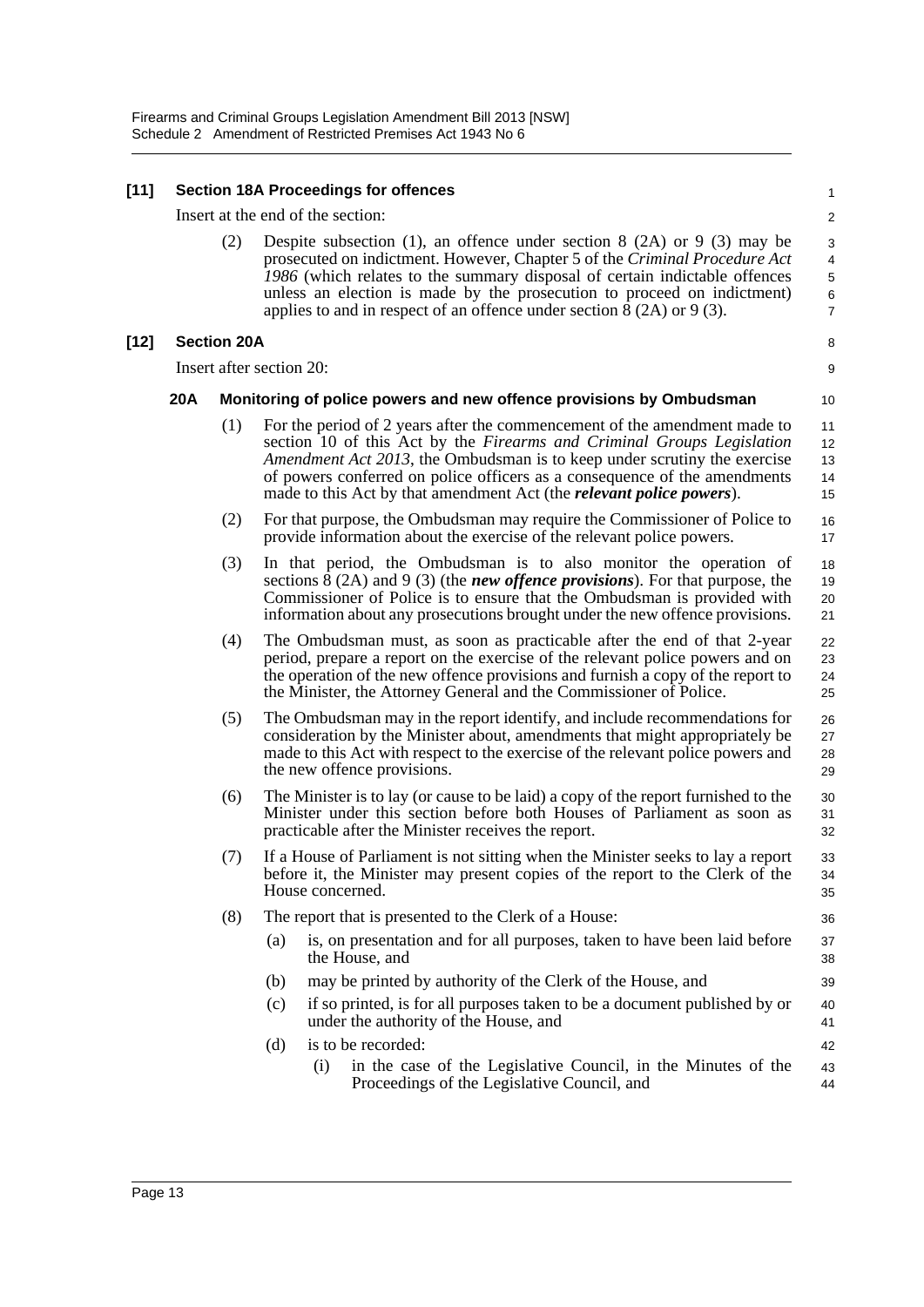#### **[11] Section 18A Proceedings for offences**

Insert at the end of the section:

(2) Despite subsection (1), an offence under section 8 (2A) or 9 (3) may be prosecuted on indictment. However, Chapter 5 of the *Criminal Procedure Act 1986* (which relates to the summary disposal of certain indictable offences unless an election is made by the prosecution to proceed on indictment) applies to and in respect of an offence under section  $\hat{8}$  (2A) or 9 (3).

8 9

10

39

#### **[12] Section 20A**

Insert after section 20:

#### **20A Monitoring of police powers and new offence provisions by Ombudsman**

- (1) For the period of 2 years after the commencement of the amendment made to section 10 of this Act by the *Firearms and Criminal Groups Legislation Amendment Act 2013*, the Ombudsman is to keep under scrutiny the exercise of powers conferred on police officers as a consequence of the amendments made to this Act by that amendment Act (the *relevant police powers*). 11 12 13 14 15
- (2) For that purpose, the Ombudsman may require the Commissioner of Police to provide information about the exercise of the relevant police powers. 16 17
- (3) In that period, the Ombudsman is to also monitor the operation of sections  $\bar{8}$  (2A) and 9 (3) (the *new offence provisions*). For that purpose, the Commissioner of Police is to ensure that the Ombudsman is provided with information about any prosecutions brought under the new offence provisions. 18 19  $20$ 21
- (4) The Ombudsman must, as soon as practicable after the end of that 2-year period, prepare a report on the exercise of the relevant police powers and on the operation of the new offence provisions and furnish a copy of the report to the Minister, the Attorney General and the Commissioner of Police. 22  $23$ 24 25
- (5) The Ombudsman may in the report identify, and include recommendations for consideration by the Minister about, amendments that might appropriately be made to this Act with respect to the exercise of the relevant police powers and the new offence provisions. 26 27 28 29
- (6) The Minister is to lay (or cause to be laid) a copy of the report furnished to the Minister under this section before both Houses of Parliament as soon as practicable after the Minister receives the report. 30 31 32
- (7) If a House of Parliament is not sitting when the Minister seeks to lay a report before it, the Minister may present copies of the report to the Clerk of the House concerned.
- (8) The report that is presented to the Clerk of a House:
	- (a) is, on presentation and for all purposes, taken to have been laid before the House, and 37 38
	- (b) may be printed by authority of the Clerk of the House, and
	- (c) if so printed, is for all purposes taken to be a document published by or under the authority of the House, and 40 41
	- (d) is to be recorded: (i) in the case of the Legislative Council, in the Minutes of the Proceedings of the Legislative Council, and 42 43 44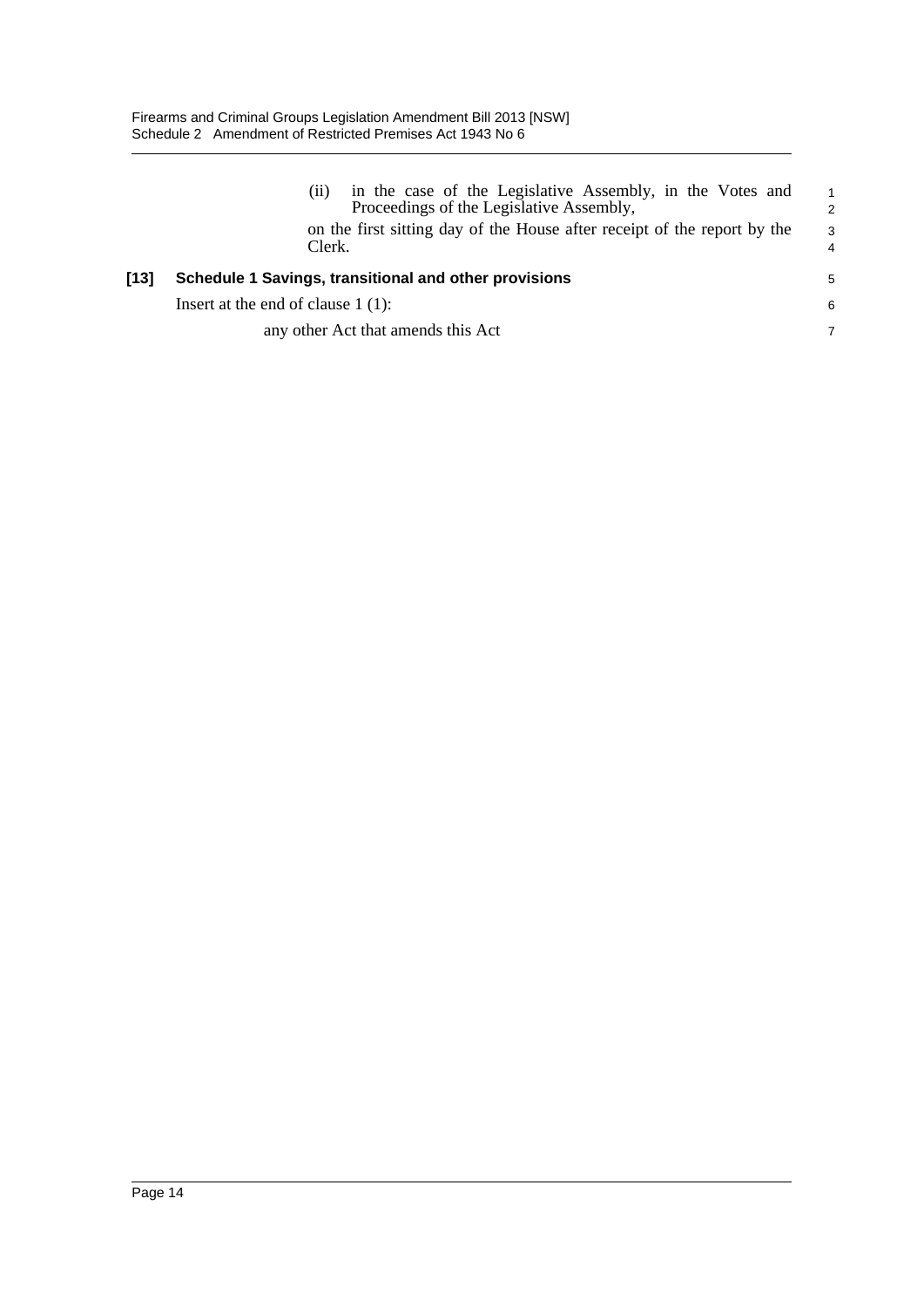|      | in the case of the Legislative Assembly, in the Votes and<br>(11)<br>Proceedings of the Legislative Assembly,<br>on the first sitting day of the House after receipt of the report by the<br>Clerk. | $\overline{1}$<br>$\mathcal{P}$<br>-3<br>$\overline{4}$ |
|------|-----------------------------------------------------------------------------------------------------------------------------------------------------------------------------------------------------|---------------------------------------------------------|
| [13] | Schedule 1 Savings, transitional and other provisions                                                                                                                                               | 5                                                       |
|      | Insert at the end of clause $1(1)$ :                                                                                                                                                                | 6                                                       |
|      | any other Act that amends this Act                                                                                                                                                                  | 7                                                       |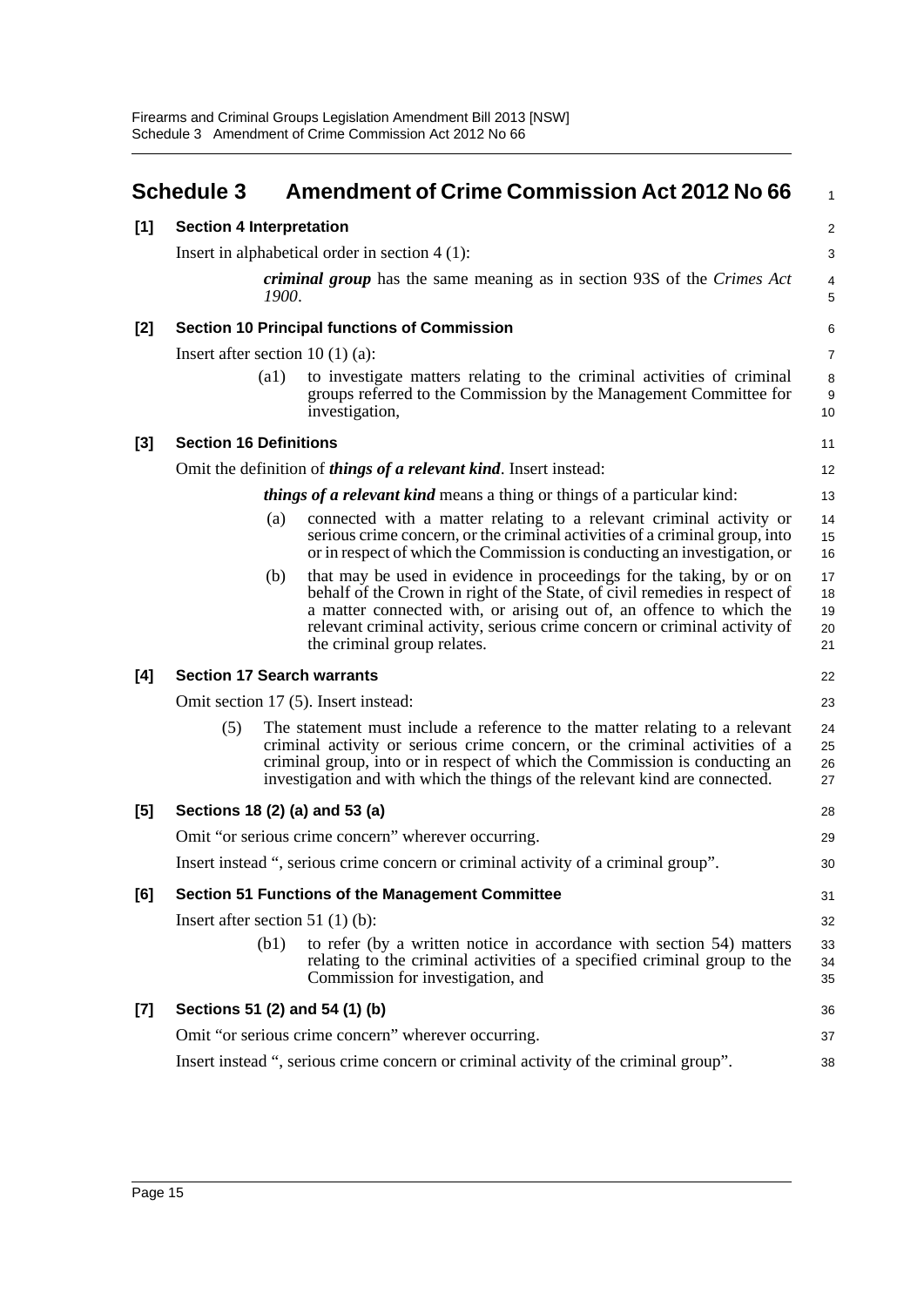<span id="page-19-0"></span>

|       | <b>Schedule 3</b>                                                                              |                    | <b>Amendment of Crime Commission Act 2012 No 66</b>                                                                                                                                                                                                                                                                                   | 1                          |  |
|-------|------------------------------------------------------------------------------------------------|--------------------|---------------------------------------------------------------------------------------------------------------------------------------------------------------------------------------------------------------------------------------------------------------------------------------------------------------------------------------|----------------------------|--|
| $[1]$ | <b>Section 4 Interpretation</b>                                                                |                    |                                                                                                                                                                                                                                                                                                                                       |                            |  |
|       | Insert in alphabetical order in section $4(1)$ :                                               |                    |                                                                                                                                                                                                                                                                                                                                       |                            |  |
|       | <i>criminal group</i> has the same meaning as in section 93S of the <i>Crimes Act</i><br>1900. |                    |                                                                                                                                                                                                                                                                                                                                       | 4<br>5                     |  |
| $[2]$ | <b>Section 10 Principal functions of Commission</b>                                            |                    |                                                                                                                                                                                                                                                                                                                                       |                            |  |
|       | Insert after section 10 $(1)$ $(a)$ :                                                          |                    |                                                                                                                                                                                                                                                                                                                                       |                            |  |
|       |                                                                                                | $\left( a1\right)$ | to investigate matters relating to the criminal activities of criminal<br>groups referred to the Commission by the Management Committee for<br>investigation,                                                                                                                                                                         | 8<br>9<br>10               |  |
| $[3]$ | <b>Section 16 Definitions</b>                                                                  |                    |                                                                                                                                                                                                                                                                                                                                       |                            |  |
|       |                                                                                                |                    | Omit the definition of <i>things of a relevant kind</i> . Insert instead:                                                                                                                                                                                                                                                             | 12                         |  |
|       |                                                                                                |                    | <i>things of a relevant kind</i> means a thing or things of a particular kind:                                                                                                                                                                                                                                                        | 13                         |  |
|       |                                                                                                | (a)                | connected with a matter relating to a relevant criminal activity or<br>serious crime concern, or the criminal activities of a criminal group, into<br>or in respect of which the Commission is conducting an investigation, or                                                                                                        | 14<br>15<br>16             |  |
|       |                                                                                                | (b)                | that may be used in evidence in proceedings for the taking, by or on<br>behalf of the Crown in right of the State, of civil remedies in respect of<br>a matter connected with, or arising out of, an offence to which the<br>relevant criminal activity, serious crime concern or criminal activity of<br>the criminal group relates. | 17<br>18<br>19<br>20<br>21 |  |
| [4]   | <b>Section 17 Search warrants</b>                                                              |                    |                                                                                                                                                                                                                                                                                                                                       |                            |  |
|       | Omit section 17 (5). Insert instead:                                                           |                    |                                                                                                                                                                                                                                                                                                                                       |                            |  |
|       | (5)                                                                                            |                    | The statement must include a reference to the matter relating to a relevant<br>criminal activity or serious crime concern, or the criminal activities of a<br>criminal group, into or in respect of which the Commission is conducting an<br>investigation and with which the things of the relevant kind are connected.              | 24<br>25<br>26<br>27       |  |
| [5]   | Sections 18 (2) (a) and 53 (a)                                                                 |                    |                                                                                                                                                                                                                                                                                                                                       | 28                         |  |
|       | Omit "or serious crime concern" wherever occurring.                                            |                    |                                                                                                                                                                                                                                                                                                                                       | 29                         |  |
|       | Insert instead ", serious crime concern or criminal activity of a criminal group".             |                    |                                                                                                                                                                                                                                                                                                                                       | 30                         |  |
| [6]   | <b>Section 51 Functions of the Management Committee</b>                                        |                    |                                                                                                                                                                                                                                                                                                                                       |                            |  |
|       | Insert after section 51 $(1)(b)$ :                                                             |                    |                                                                                                                                                                                                                                                                                                                                       |                            |  |
|       |                                                                                                | (b1)               | to refer (by a written notice in accordance with section 54) matters<br>relating to the criminal activities of a specified criminal group to the<br>Commission for investigation, and                                                                                                                                                 | 33<br>34<br>35             |  |
| $[7]$ | Sections 51 (2) and 54 (1) (b)                                                                 |                    |                                                                                                                                                                                                                                                                                                                                       | 36                         |  |
|       | Omit "or serious crime concern" wherever occurring.                                            |                    |                                                                                                                                                                                                                                                                                                                                       |                            |  |
|       |                                                                                                |                    | Insert instead ", serious crime concern or criminal activity of the criminal group".                                                                                                                                                                                                                                                  | 38                         |  |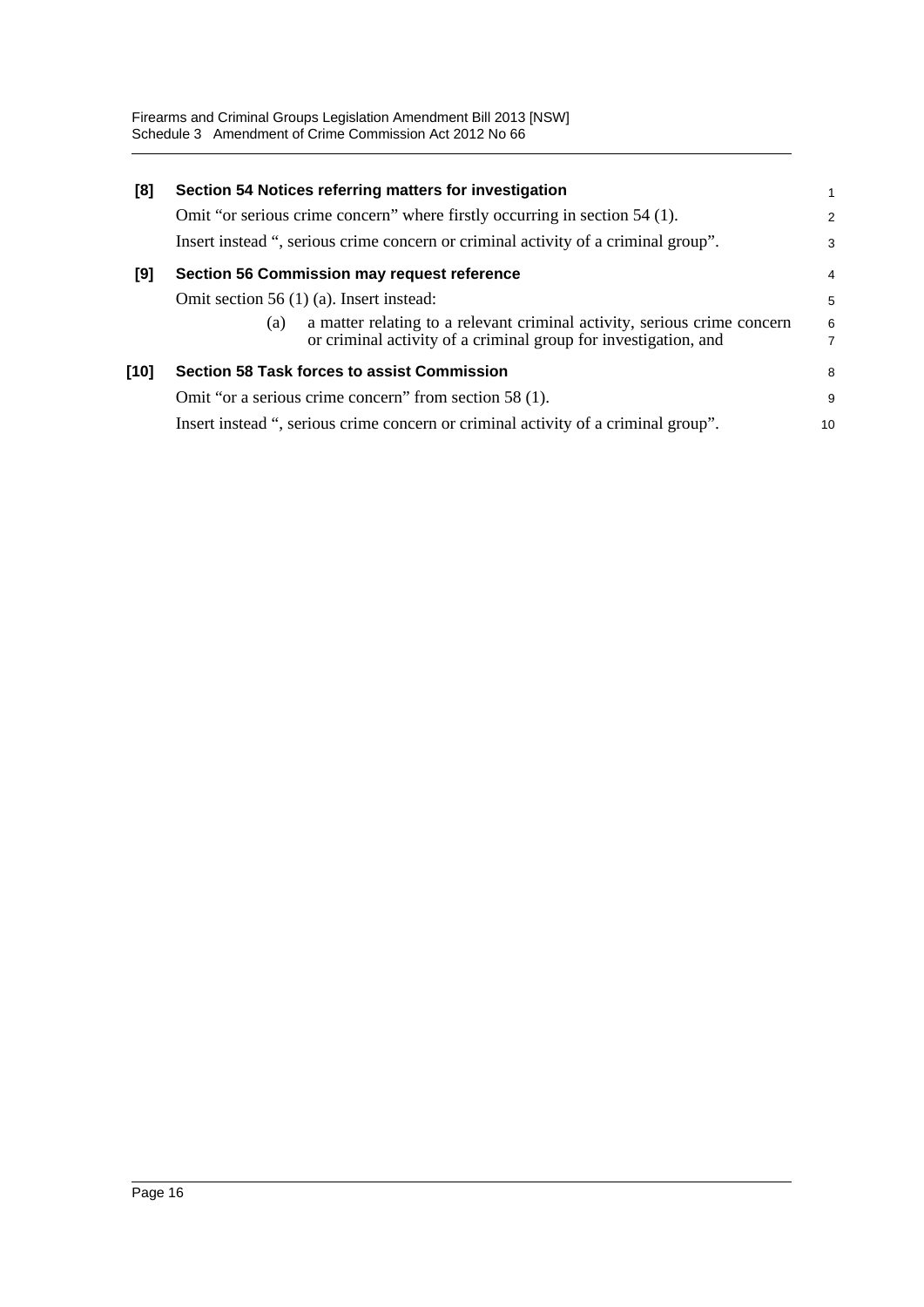| [8]  | Section 54 Notices referring matters for investigation                                                                                             | 1                                     |
|------|----------------------------------------------------------------------------------------------------------------------------------------------------|---------------------------------------|
|      | Omit "or serious crime concern" where firstly occurring in section 54 (1).                                                                         | $\overline{2}$                        |
|      | Insert instead ", serious crime concern or criminal activity of a criminal group".                                                                 | 3                                     |
| [9]  | <b>Section 56 Commission may request reference</b>                                                                                                 | $\overline{4}$                        |
|      | Omit section 56 $(1)$ (a). Insert instead:                                                                                                         | 5                                     |
|      | a matter relating to a relevant criminal activity, serious crime concern<br>(a)<br>or criminal activity of a criminal group for investigation, and | $\begin{array}{c} 6 \\ 7 \end{array}$ |
| [10] | <b>Section 58 Task forces to assist Commission</b>                                                                                                 | 8                                     |
|      | Omit "or a serious crime concern" from section 58 (1).                                                                                             | 9                                     |
|      | Insert instead ", serious crime concern or criminal activity of a criminal group".                                                                 | 10                                    |